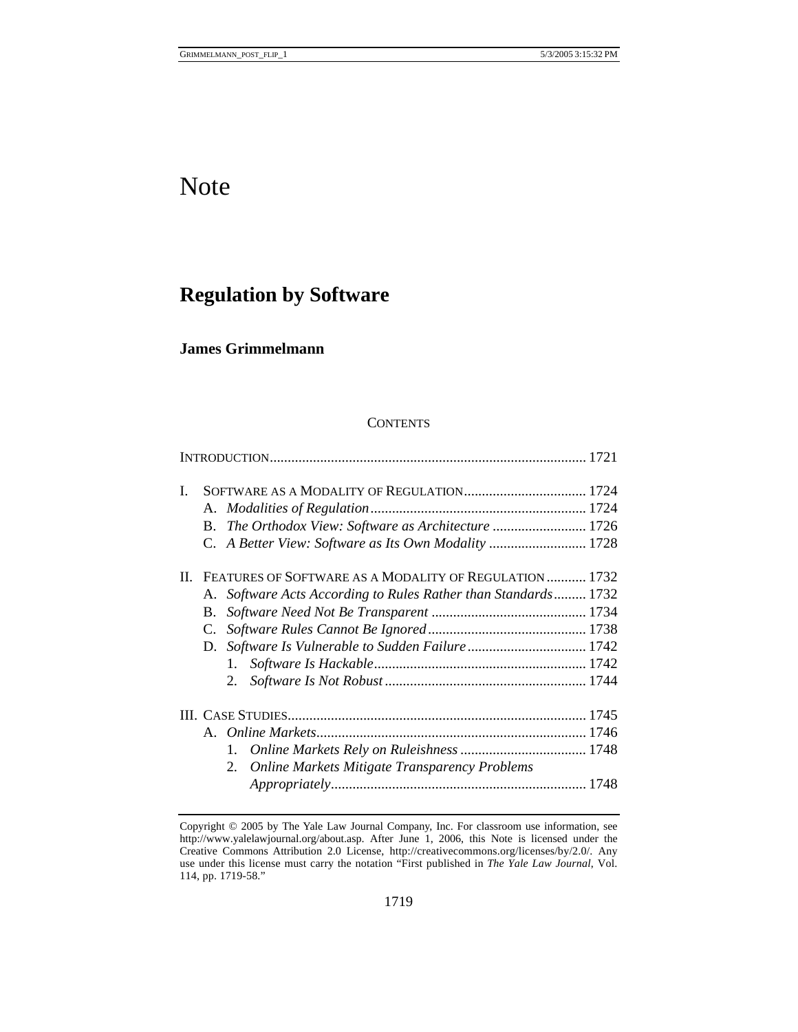# Note

# **Regulation by Software**†

# **James Grimmelmann**

# **CONTENTS**

| L  | B. The Orthodox View: Software as Architecture  1726                                                                                                                                                    |  |
|----|---------------------------------------------------------------------------------------------------------------------------------------------------------------------------------------------------------|--|
| H. | FEATURES OF SOFTWARE AS A MODALITY OF REGULATION  1732<br>A. Software Acts According to Rules Rather than Standards 1732<br>B.<br>C.<br>Software Is Vulnerable to Sudden Failure 1742<br>D.<br>1.<br>2. |  |
|    | 1.<br><b>Online Markets Mitigate Transparency Problems</b><br>2.                                                                                                                                        |  |

Copyright © 2005 by The Yale Law Journal Company, Inc. For classroom use information, see http://www.yalelawjournal.org/about.asp. After June 1, 2006, this Note is licensed under the Creative Commons Attribution 2.0 License, http://creativecommons.org/licenses/by/2.0/. Any use under this license must carry the notation "First published in *The Yale Law Journal*, Vol. 114, pp. 1719-58."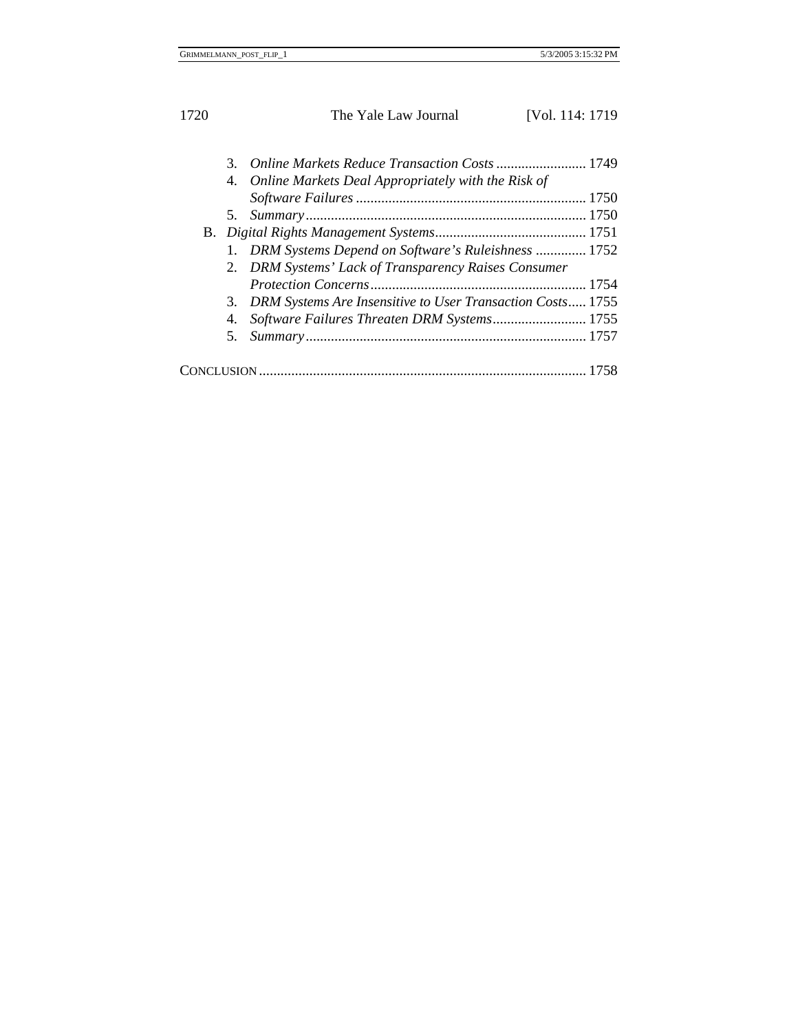| $\mathcal{E}$ | Online Markets Reduce Transaction Costs 1749                  |  |
|---------------|---------------------------------------------------------------|--|
|               | 4. Online Markets Deal Appropriately with the Risk of         |  |
|               |                                                               |  |
|               |                                                               |  |
|               |                                                               |  |
|               | 1. DRM Systems Depend on Software's Ruleishness  1752         |  |
|               | 2. DRM Systems' Lack of Transparency Raises Consumer          |  |
|               |                                                               |  |
|               | 3. DRM Systems Are Insensitive to User Transaction Costs 1755 |  |
|               |                                                               |  |
|               |                                                               |  |
|               |                                                               |  |
|               |                                                               |  |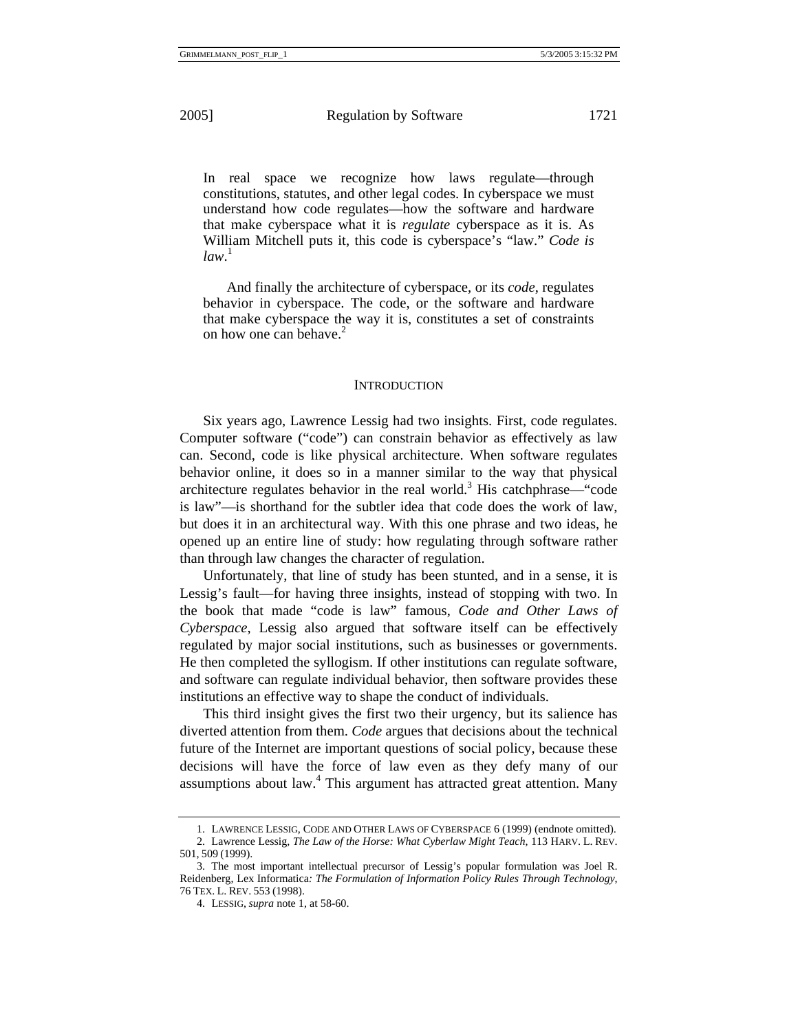In real space we recognize how laws regulate—through constitutions, statutes, and other legal codes. In cyberspace we must understand how code regulates—how the software and hardware that make cyberspace what it is *regulate* cyberspace as it is. As William Mitchell puts it, this code is cyberspace's "law." *Code is law*. 1

And finally the architecture of cyberspace, or its *code*, regulates behavior in cyberspace. The code, or the software and hardware that make cyberspace the way it is, constitutes a set of constraints on how one can behave.<sup>2</sup>

#### **INTRODUCTION**

Six years ago, Lawrence Lessig had two insights. First, code regulates. Computer software ("code") can constrain behavior as effectively as law can. Second, code is like physical architecture. When software regulates behavior online, it does so in a manner similar to the way that physical architecture regulates behavior in the real world.<sup>3</sup> His catchphrase—"code is law"—is shorthand for the subtler idea that code does the work of law, but does it in an architectural way. With this one phrase and two ideas, he opened up an entire line of study: how regulating through software rather than through law changes the character of regulation.

Unfortunately, that line of study has been stunted, and in a sense, it is Lessig's fault—for having three insights, instead of stopping with two. In the book that made "code is law" famous, *Code and Other Laws of Cyberspace*, Lessig also argued that software itself can be effectively regulated by major social institutions, such as businesses or governments. He then completed the syllogism. If other institutions can regulate software, and software can regulate individual behavior, then software provides these institutions an effective way to shape the conduct of individuals.

This third insight gives the first two their urgency, but its salience has diverted attention from them. *Code* argues that decisions about the technical future of the Internet are important questions of social policy, because these decisions will have the force of law even as they defy many of our assumptions about law.<sup>4</sup> This argument has attracted great attention. Many

<sup>1.</sup> LAWRENCE LESSIG, CODE AND OTHER LAWS OF CYBERSPACE 6 (1999) (endnote omitted). 2. Lawrence Lessig, *The Law of the Horse: What Cyberlaw Might Teach*, 113 HARV. L. REV.

<sup>501,</sup> 509 (1999).

<sup>3.</sup> The most important intellectual precursor of Lessig's popular formulation was Joel R. Reidenberg, Lex Informatica*: The Formulation of Information Policy Rules Through Technology*, 76 TEX. L. REV. 553 (1998).

<sup>4.</sup> LESSIG, *supra* note 1, at 58-60.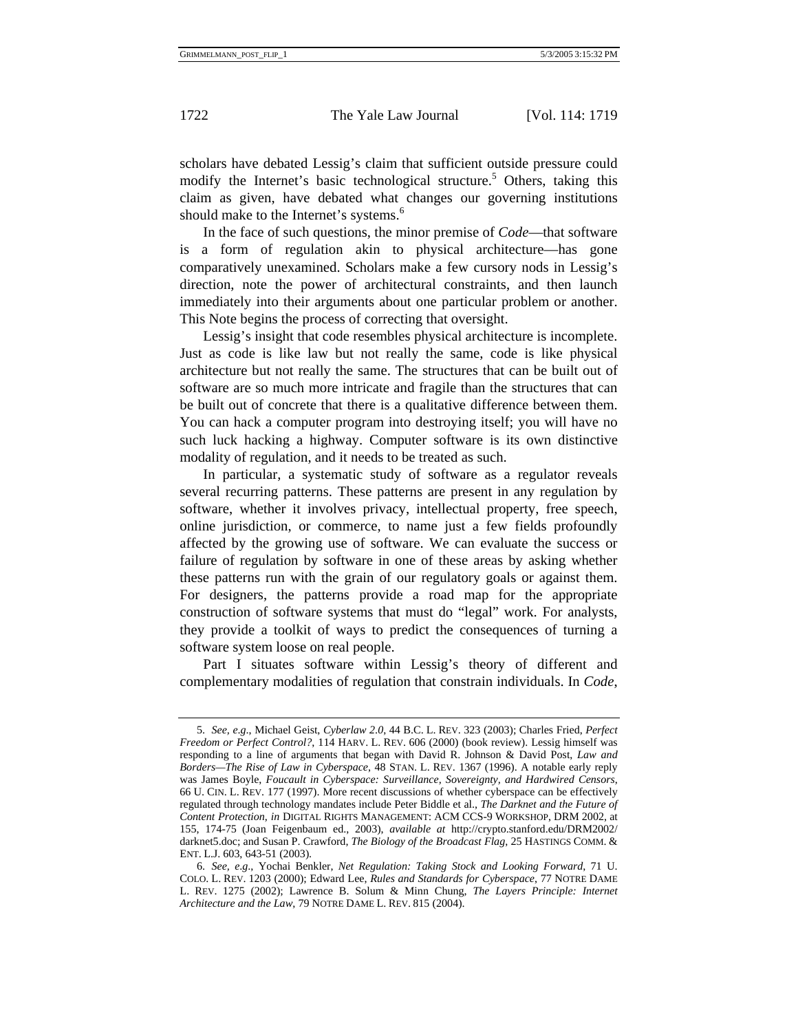scholars have debated Lessig's claim that sufficient outside pressure could modify the Internet's basic technological structure.<sup>5</sup> Others, taking this claim as given, have debated what changes our governing institutions should make to the Internet's systems.<sup>6</sup>

In the face of such questions, the minor premise of *Code*—that software is a form of regulation akin to physical architecture—has gone comparatively unexamined. Scholars make a few cursory nods in Lessig's direction, note the power of architectural constraints, and then launch immediately into their arguments about one particular problem or another. This Note begins the process of correcting that oversight.

Lessig's insight that code resembles physical architecture is incomplete. Just as code is like law but not really the same, code is like physical architecture but not really the same. The structures that can be built out of software are so much more intricate and fragile than the structures that can be built out of concrete that there is a qualitative difference between them. You can hack a computer program into destroying itself; you will have no such luck hacking a highway. Computer software is its own distinctive modality of regulation, and it needs to be treated as such.

In particular, a systematic study of software as a regulator reveals several recurring patterns. These patterns are present in any regulation by software, whether it involves privacy, intellectual property, free speech, online jurisdiction, or commerce, to name just a few fields profoundly affected by the growing use of software. We can evaluate the success or failure of regulation by software in one of these areas by asking whether these patterns run with the grain of our regulatory goals or against them. For designers, the patterns provide a road map for the appropriate construction of software systems that must do "legal" work. For analysts, they provide a toolkit of ways to predict the consequences of turning a software system loose on real people.

Part I situates software within Lessig's theory of different and complementary modalities of regulation that constrain individuals. In *Code*,

<sup>5.</sup> *See, e*.*g*., Michael Geist, *Cyberlaw 2*.*0*, 44 B.C. L. REV. 323 (2003); Charles Fried, *Perfect Freedom or Perfect Control?*, 114 HARV. L. REV. 606 (2000) (book review). Lessig himself was responding to a line of arguments that began with David R. Johnson & David Post, *Law and Borders—The Rise of Law in Cyberspace*, 48 STAN. L. REV. 1367 (1996). A notable early reply was James Boyle, *Foucault in Cyberspace: Surveillance, Sovereignty, and Hardwired Censors*, 66 U. CIN. L. REV. 177 (1997). More recent discussions of whether cyberspace can be effectively regulated through technology mandates include Peter Biddle et al., *The Darknet and the Future of Content Protection*, *in* DIGITAL RIGHTS MANAGEMENT: ACM CCS-9 WORKSHOP, DRM 2002, at 155, 174-75 (Joan Feigenbaum ed., 2003), *available at* http://crypto.stanford.edu/DRM2002/ darknet5.doc; and Susan P. Crawford, *The Biology of the Broadcast Flag*, 25 HASTINGS COMM. & ENT. L.J. 603, 643-51 (2003).

<sup>6.</sup> *See, e*.*g*., Yochai Benkler, *Net Regulation: Taking Stock and Looking Forward*, 71 U. COLO. L. REV. 1203 (2000); Edward Lee, *Rules and Standards for Cyberspace*, 77 NOTRE DAME L. REV. 1275 (2002); Lawrence B. Solum & Minn Chung, *The Layers Principle: Internet Architecture and the Law*, 79 NOTRE DAME L. REV. 815 (2004).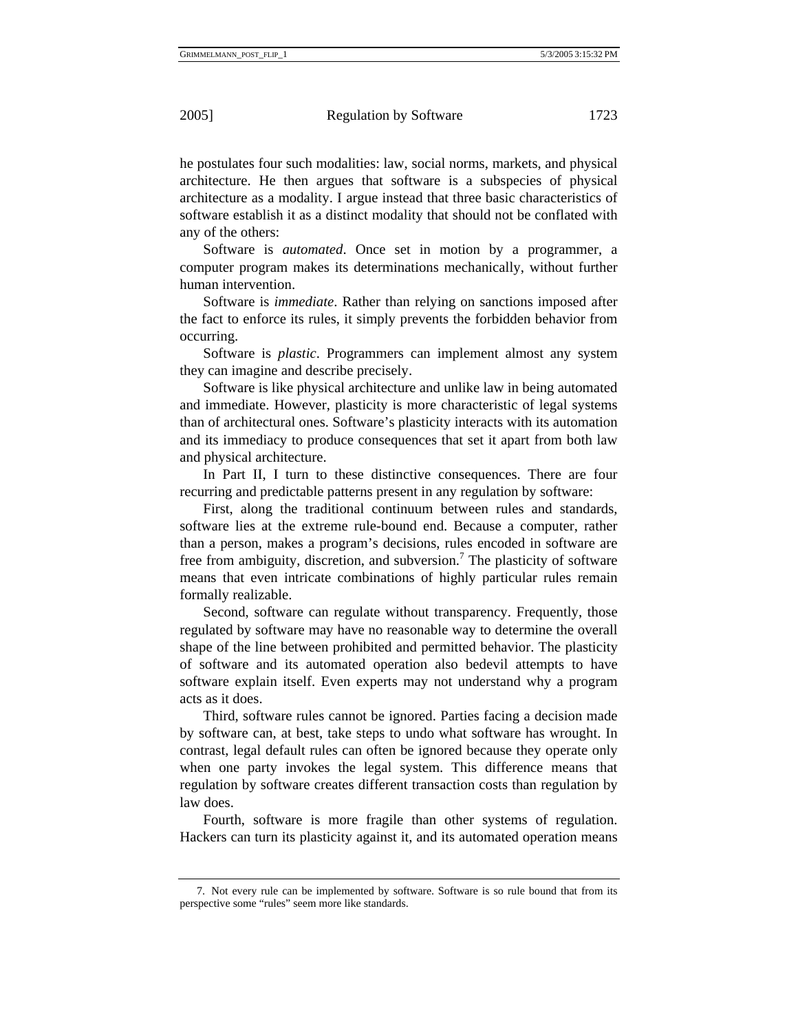he postulates four such modalities: law, social norms, markets, and physical architecture. He then argues that software is a subspecies of physical architecture as a modality. I argue instead that three basic characteristics of software establish it as a distinct modality that should not be conflated with any of the others:

Software is *automated*. Once set in motion by a programmer, a computer program makes its determinations mechanically, without further human intervention.

Software is *immediate*. Rather than relying on sanctions imposed after the fact to enforce its rules, it simply prevents the forbidden behavior from occurring.

Software is *plastic*. Programmers can implement almost any system they can imagine and describe precisely.

Software is like physical architecture and unlike law in being automated and immediate. However, plasticity is more characteristic of legal systems than of architectural ones. Software's plasticity interacts with its automation and its immediacy to produce consequences that set it apart from both law and physical architecture.

In Part II, I turn to these distinctive consequences. There are four recurring and predictable patterns present in any regulation by software:

 First, along the traditional continuum between rules and standards, software lies at the extreme rule-bound end. Because a computer, rather than a person, makes a program's decisions, rules encoded in software are free from ambiguity, discretion, and subversion.<sup>7</sup> The plasticity of software means that even intricate combinations of highly particular rules remain formally realizable.

 Second, software can regulate without transparency. Frequently, those regulated by software may have no reasonable way to determine the overall shape of the line between prohibited and permitted behavior. The plasticity of software and its automated operation also bedevil attempts to have software explain itself. Even experts may not understand why a program acts as it does.

 Third, software rules cannot be ignored. Parties facing a decision made by software can, at best, take steps to undo what software has wrought. In contrast, legal default rules can often be ignored because they operate only when one party invokes the legal system. This difference means that regulation by software creates different transaction costs than regulation by law does.

 Fourth, software is more fragile than other systems of regulation. Hackers can turn its plasticity against it, and its automated operation means

<sup>7.</sup> Not every rule can be implemented by software. Software is so rule bound that from its perspective some "rules" seem more like standards.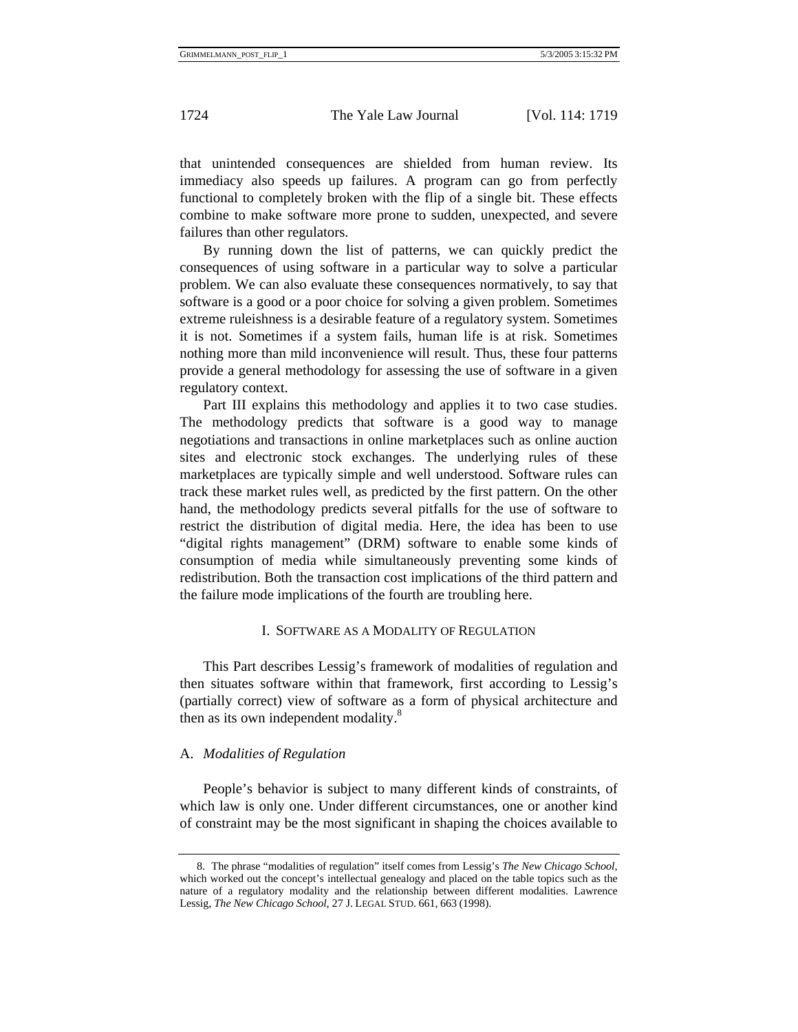that unintended consequences are shielded from human review. Its immediacy also speeds up failures. A program can go from perfectly functional to completely broken with the flip of a single bit. These effects combine to make software more prone to sudden, unexpected, and severe failures than other regulators.

By running down the list of patterns, we can quickly predict the consequences of using software in a particular way to solve a particular problem. We can also evaluate these consequences normatively, to say that software is a good or a poor choice for solving a given problem. Sometimes extreme ruleishness is a desirable feature of a regulatory system. Sometimes it is not. Sometimes if a system fails, human life is at risk. Sometimes nothing more than mild inconvenience will result. Thus, these four patterns provide a general methodology for assessing the use of software in a given regulatory context.

Part III explains this methodology and applies it to two case studies. The methodology predicts that software is a good way to manage negotiations and transactions in online marketplaces such as online auction sites and electronic stock exchanges. The underlying rules of these marketplaces are typically simple and well understood. Software rules can track these market rules well, as predicted by the first pattern. On the other hand, the methodology predicts several pitfalls for the use of software to restrict the distribution of digital media. Here, the idea has been to use "digital rights management" (DRM) software to enable some kinds of consumption of media while simultaneously preventing some kinds of redistribution. Both the transaction cost implications of the third pattern and the failure mode implications of the fourth are troubling here.

# I. SOFTWARE AS A MODALITY OF REGULATION

This Part describes Lessig's framework of modalities of regulation and then situates software within that framework, first according to Lessig's (partially correct) view of software as a form of physical architecture and then as its own independent modality.<sup>8</sup>

#### A. *Modalities of Regulation*

People's behavior is subject to many different kinds of constraints, of which law is only one. Under different circumstances, one or another kind of constraint may be the most significant in shaping the choices available to

<sup>8.</sup> The phrase "modalities of regulation" itself comes from Lessig's *The New Chicago School*, which worked out the concept's intellectual genealogy and placed on the table topics such as the nature of a regulatory modality and the relationship between different modalities. Lawrence Lessig, *The New Chicago School*, 27 J. LEGAL STUD. 661, 663 (1998).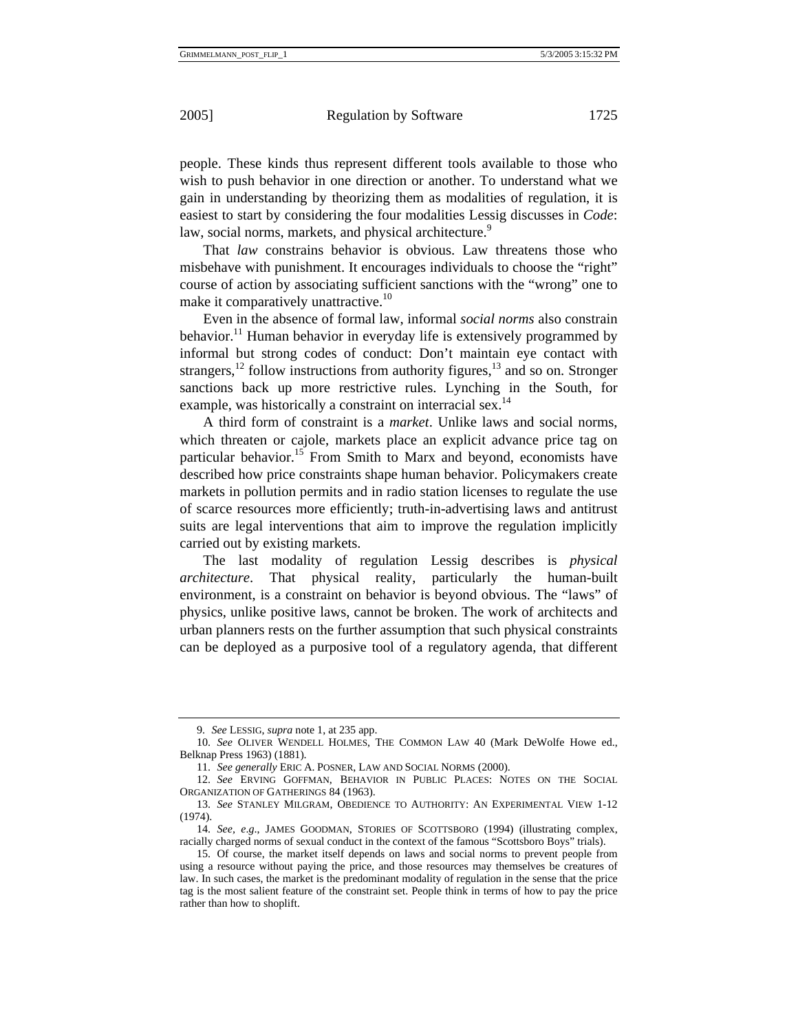people. These kinds thus represent different tools available to those who wish to push behavior in one direction or another. To understand what we gain in understanding by theorizing them as modalities of regulation, it is easiest to start by considering the four modalities Lessig discusses in *Code*: law, social norms, markets, and physical architecture.<sup>9</sup>

That *law* constrains behavior is obvious. Law threatens those who misbehave with punishment. It encourages individuals to choose the "right" course of action by associating sufficient sanctions with the "wrong" one to make it comparatively unattractive.<sup>10</sup>

Even in the absence of formal law, informal *social norms* also constrain behavior.<sup>11</sup> Human behavior in everyday life is extensively programmed by informal but strong codes of conduct: Don't maintain eye contact with strangers,<sup>12</sup> follow instructions from authority figures,<sup>13</sup> and so on. Stronger sanctions back up more restrictive rules. Lynching in the South, for example, was historically a constraint on interracial sex.<sup>14</sup>

A third form of constraint is a *market*. Unlike laws and social norms, which threaten or cajole, markets place an explicit advance price tag on particular behavior.<sup>15</sup> From Smith to Marx and beyond, economists have described how price constraints shape human behavior. Policymakers create markets in pollution permits and in radio station licenses to regulate the use of scarce resources more efficiently; truth-in-advertising laws and antitrust suits are legal interventions that aim to improve the regulation implicitly carried out by existing markets.

The last modality of regulation Lessig describes is *physical architecture*. That physical reality, particularly the human-built environment, is a constraint on behavior is beyond obvious. The "laws" of physics, unlike positive laws, cannot be broken. The work of architects and urban planners rests on the further assumption that such physical constraints can be deployed as a purposive tool of a regulatory agenda, that different

<sup>9.</sup> *See* LESSIG, *supra* note 1, at 235 app.

<sup>10.</sup> *See* OLIVER WENDELL HOLMES, THE COMMON LAW 40 (Mark DeWolfe Howe ed., Belknap Press 1963) (1881).

<sup>11.</sup> *See generally* ERIC A. POSNER, LAW AND SOCIAL NORMS (2000).

<sup>12.</sup> *See* ERVING GOFFMAN, BEHAVIOR IN PUBLIC PLACES: NOTES ON THE SOCIAL ORGANIZATION OF GATHERINGS 84 (1963).

<sup>13.</sup> *See* STANLEY MILGRAM, OBEDIENCE TO AUTHORITY: AN EXPERIMENTAL VIEW 1-12 (1974).

<sup>14.</sup> *See, e*.*g*., JAMES GOODMAN, STORIES OF SCOTTSBORO (1994) (illustrating complex, racially charged norms of sexual conduct in the context of the famous "Scottsboro Boys" trials).

<sup>15.</sup> Of course, the market itself depends on laws and social norms to prevent people from using a resource without paying the price, and those resources may themselves be creatures of law. In such cases, the market is the predominant modality of regulation in the sense that the price tag is the most salient feature of the constraint set. People think in terms of how to pay the price rather than how to shoplift.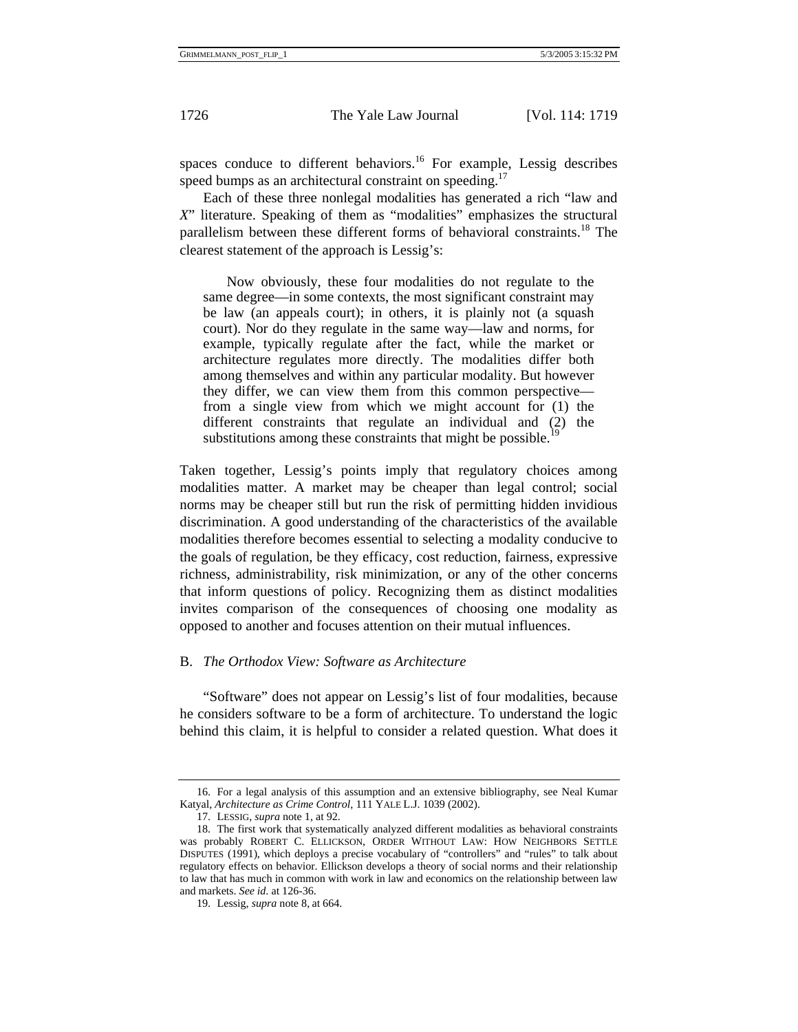spaces conduce to different behaviors.<sup>16</sup> For example, Lessig describes speed bumps as an architectural constraint on speeding.<sup>17</sup>

Each of these three nonlegal modalities has generated a rich "law and *X*" literature. Speaking of them as "modalities" emphasizes the structural parallelism between these different forms of behavioral constraints.<sup>18</sup> The clearest statement of the approach is Lessig's:

Now obviously, these four modalities do not regulate to the same degree—in some contexts, the most significant constraint may be law (an appeals court); in others, it is plainly not (a squash court). Nor do they regulate in the same way—law and norms, for example, typically regulate after the fact, while the market or architecture regulates more directly. The modalities differ both among themselves and within any particular modality. But however they differ, we can view them from this common perspective from a single view from which we might account for (1) the different constraints that regulate an individual and (2) the substitutions among these constraints that might be possible.<sup>1</sup>

Taken together, Lessig's points imply that regulatory choices among modalities matter. A market may be cheaper than legal control; social norms may be cheaper still but run the risk of permitting hidden invidious discrimination. A good understanding of the characteristics of the available modalities therefore becomes essential to selecting a modality conducive to the goals of regulation, be they efficacy, cost reduction, fairness, expressive richness, administrability, risk minimization, or any of the other concerns that inform questions of policy. Recognizing them as distinct modalities invites comparison of the consequences of choosing one modality as opposed to another and focuses attention on their mutual influences.

#### B. *The Orthodox View: Software as Architecture*

"Software" does not appear on Lessig's list of four modalities, because he considers software to be a form of architecture. To understand the logic behind this claim, it is helpful to consider a related question. What does it

<sup>16.</sup> For a legal analysis of this assumption and an extensive bibliography, see Neal Kumar Katyal, *Architecture as Crime Control*, 111 YALE L.J. 1039 (2002).

<sup>17.</sup> LESSIG, *supra* note 1, at 92.

<sup>18.</sup> The first work that systematically analyzed different modalities as behavioral constraints was probably ROBERT C. ELLICKSON, ORDER WITHOUT LAW: HOW NEIGHBORS SETTLE DISPUTES (1991), which deploys a precise vocabulary of "controllers" and "rules" to talk about regulatory effects on behavior. Ellickson develops a theory of social norms and their relationship to law that has much in common with work in law and economics on the relationship between law and markets. *See id*. at 126-36.

<sup>19.</sup> Lessig, *supra* note 8, at 664.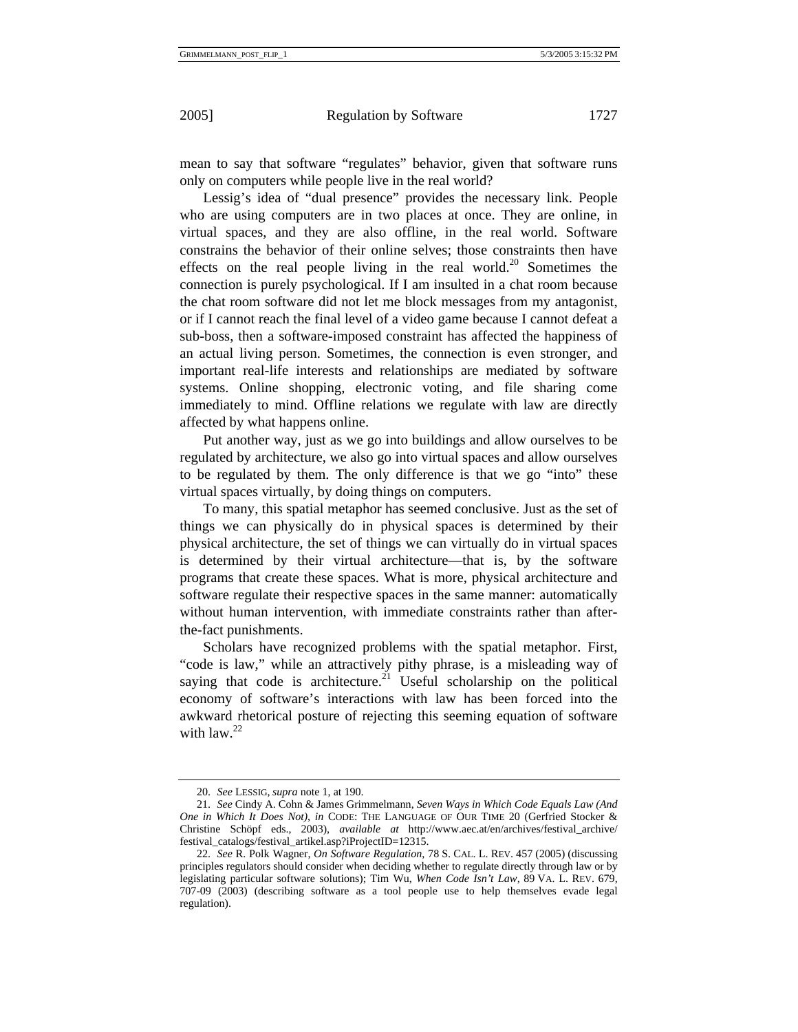mean to say that software "regulates" behavior, given that software runs only on computers while people live in the real world?

Lessig's idea of "dual presence" provides the necessary link. People who are using computers are in two places at once. They are online, in virtual spaces, and they are also offline, in the real world. Software constrains the behavior of their online selves; those constraints then have effects on the real people living in the real world.<sup>20</sup> Sometimes the connection is purely psychological. If I am insulted in a chat room because the chat room software did not let me block messages from my antagonist, or if I cannot reach the final level of a video game because I cannot defeat a sub-boss, then a software-imposed constraint has affected the happiness of an actual living person. Sometimes, the connection is even stronger, and important real-life interests and relationships are mediated by software systems. Online shopping, electronic voting, and file sharing come immediately to mind. Offline relations we regulate with law are directly affected by what happens online.

Put another way, just as we go into buildings and allow ourselves to be regulated by architecture, we also go into virtual spaces and allow ourselves to be regulated by them. The only difference is that we go "into" these virtual spaces virtually, by doing things on computers.

To many, this spatial metaphor has seemed conclusive. Just as the set of things we can physically do in physical spaces is determined by their physical architecture, the set of things we can virtually do in virtual spaces is determined by their virtual architecture—that is, by the software programs that create these spaces. What is more, physical architecture and software regulate their respective spaces in the same manner: automatically without human intervention, with immediate constraints rather than afterthe-fact punishments.

Scholars have recognized problems with the spatial metaphor. First, "code is law," while an attractively pithy phrase, is a misleading way of saying that code is architecture.<sup>21</sup> Useful scholarship on the political economy of software's interactions with law has been forced into the awkward rhetorical posture of rejecting this seeming equation of software with  $law.<sup>22</sup>$ 

<sup>20.</sup> *See* LESSIG, *supra* note 1, at 190.

<sup>21.</sup> *See* Cindy A. Cohn & James Grimmelmann, *Seven Ways in Which Code Equals Law (And One in Which It Does Not)*, *in* CODE: THE LANGUAGE OF OUR TIME 20 (Gerfried Stocker & Christine Schöpf eds., 2003), *available at* http://www.aec.at/en/archives/festival\_archive/ festival\_catalogs/festival\_artikel.asp?iProjectID=12315.

<sup>22.</sup> *See* R. Polk Wagner, *On Software Regulation*, 78 S. CAL. L. REV. 457 (2005) (discussing principles regulators should consider when deciding whether to regulate directly through law or by legislating particular software solutions); Tim Wu, *When Code Isn't Law*, 89 VA. L. REV. 679, 707-09 (2003) (describing software as a tool people use to help themselves evade legal regulation).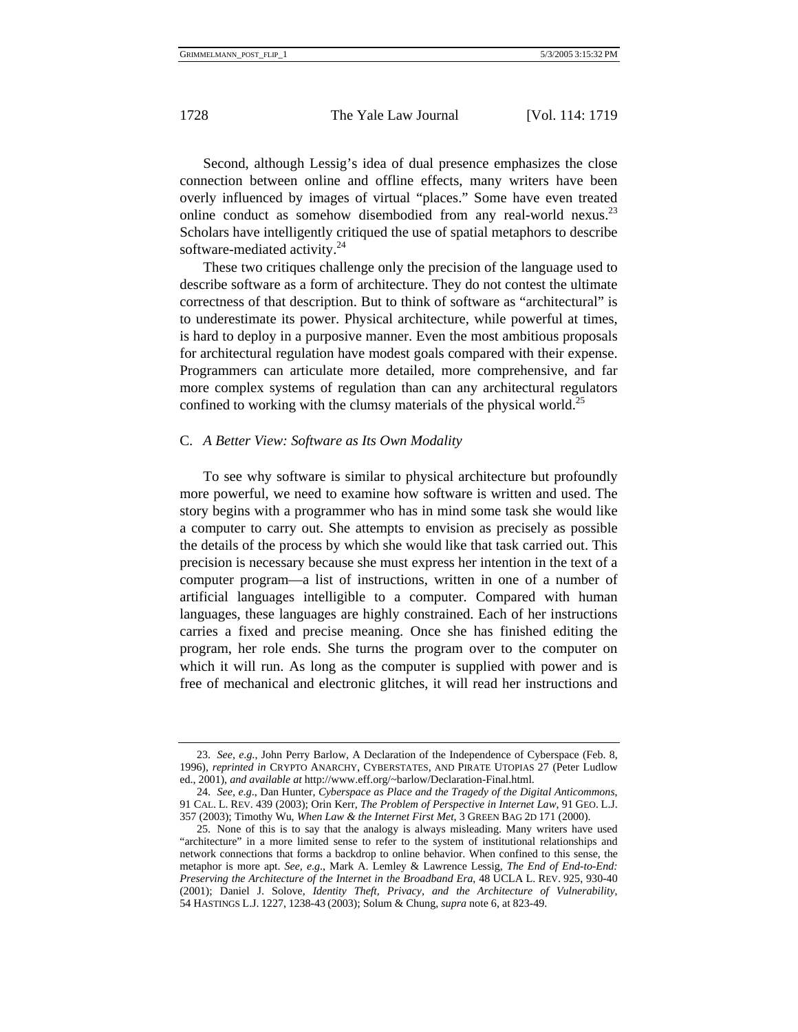Second, although Lessig's idea of dual presence emphasizes the close connection between online and offline effects, many writers have been overly influenced by images of virtual "places." Some have even treated online conduct as somehow disembodied from any real-world nexus.<sup>23</sup> Scholars have intelligently critiqued the use of spatial metaphors to describe software-mediated activity. $24$ 

These two critiques challenge only the precision of the language used to describe software as a form of architecture. They do not contest the ultimate correctness of that description. But to think of software as "architectural" is to underestimate its power. Physical architecture, while powerful at times, is hard to deploy in a purposive manner. Even the most ambitious proposals for architectural regulation have modest goals compared with their expense. Programmers can articulate more detailed, more comprehensive, and far more complex systems of regulation than can any architectural regulators confined to working with the clumsy materials of the physical world.<sup>25</sup>

#### C. *A Better View: Software as Its Own Modality*

To see why software is similar to physical architecture but profoundly more powerful, we need to examine how software is written and used. The story begins with a programmer who has in mind some task she would like a computer to carry out. She attempts to envision as precisely as possible the details of the process by which she would like that task carried out. This precision is necessary because she must express her intention in the text of a computer program—a list of instructions, written in one of a number of artificial languages intelligible to a computer. Compared with human languages, these languages are highly constrained. Each of her instructions carries a fixed and precise meaning. Once she has finished editing the program, her role ends. She turns the program over to the computer on which it will run. As long as the computer is supplied with power and is free of mechanical and electronic glitches, it will read her instructions and

<sup>23.</sup> *See, e*.*g*., John Perry Barlow, A Declaration of the Independence of Cyberspace (Feb. 8, 1996), *reprinted in* CRYPTO ANARCHY, CYBERSTATES, AND PIRATE UTOPIAS 27 (Peter Ludlow ed., 2001), *and available at* http://www.eff.org/~barlow/Declaration-Final.html.

<sup>24.</sup> *See, e*.*g*., Dan Hunter, *Cyberspace as Place and the Tragedy of the Digital Anticommons*, 91 CAL. L. REV. 439 (2003); Orin Kerr, *The Problem of Perspective in Internet Law*, 91 GEO. L.J. 357 (2003); Timothy Wu, *When Law & the Internet First Met*, 3 GREEN BAG 2D 171 (2000).

<sup>25.</sup> None of this is to say that the analogy is always misleading. Many writers have used "architecture" in a more limited sense to refer to the system of institutional relationships and network connections that forms a backdrop to online behavior. When confined to this sense, the metaphor is more apt. *See, e*.*g*., Mark A. Lemley & Lawrence Lessig, *The End of End-to-End: Preserving the Architecture of the Internet in the Broadband Era*, 48 UCLA L. REV. 925, 930-40 (2001); Daniel J. Solove, *Identity Theft, Privacy, and the Architecture of Vulnerability*, 54 HASTINGS L.J. 1227, 1238-43 (2003); Solum & Chung, *supra* note 6, at 823-49.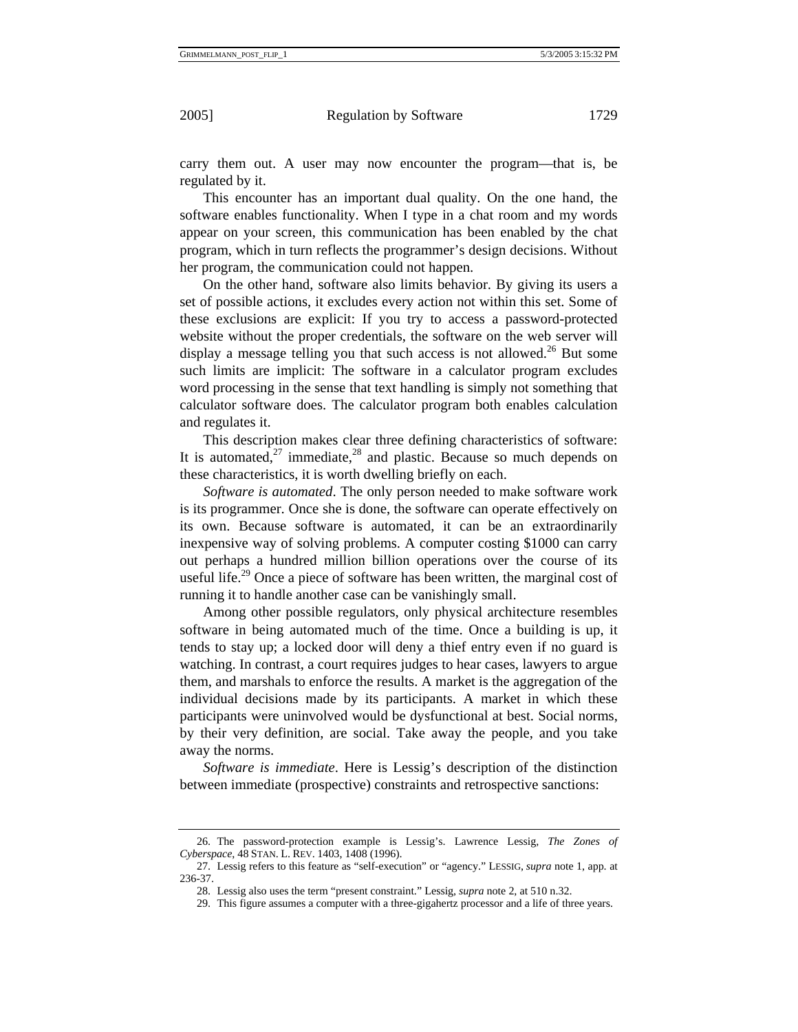carry them out. A user may now encounter the program—that is, be regulated by it.

This encounter has an important dual quality. On the one hand, the software enables functionality. When I type in a chat room and my words appear on your screen, this communication has been enabled by the chat program, which in turn reflects the programmer's design decisions. Without her program, the communication could not happen.

On the other hand, software also limits behavior. By giving its users a set of possible actions, it excludes every action not within this set. Some of these exclusions are explicit: If you try to access a password-protected website without the proper credentials, the software on the web server will display a message telling you that such access is not allowed.<sup>26</sup> But some such limits are implicit: The software in a calculator program excludes word processing in the sense that text handling is simply not something that calculator software does. The calculator program both enables calculation and regulates it.

This description makes clear three defining characteristics of software: It is automated, $2^7$  immediate, $2^8$  and plastic. Because so much depends on these characteristics, it is worth dwelling briefly on each.

*Software is automated*. The only person needed to make software work is its programmer. Once she is done, the software can operate effectively on its own. Because software is automated, it can be an extraordinarily inexpensive way of solving problems. A computer costing \$1000 can carry out perhaps a hundred million billion operations over the course of its useful life.<sup>29</sup> Once a piece of software has been written, the marginal cost of running it to handle another case can be vanishingly small.

Among other possible regulators, only physical architecture resembles software in being automated much of the time. Once a building is up, it tends to stay up; a locked door will deny a thief entry even if no guard is watching. In contrast, a court requires judges to hear cases, lawyers to argue them, and marshals to enforce the results. A market is the aggregation of the individual decisions made by its participants. A market in which these participants were uninvolved would be dysfunctional at best. Social norms, by their very definition, are social. Take away the people, and you take away the norms.

*Software is immediate*. Here is Lessig's description of the distinction between immediate (prospective) constraints and retrospective sanctions:

<sup>26.</sup> The password-protection example is Lessig's. Lawrence Lessig, *The Zones of Cyberspace*, 48 STAN. L. REV. 1403, 1408 (1996).

<sup>27.</sup> Lessig refers to this feature as "self-execution" or "agency." LESSIG, *supra* note 1, app. at 236-37.

<sup>28.</sup> Lessig also uses the term "present constraint." Lessig, *supra* note 2, at 510 n.32.

<sup>29.</sup> This figure assumes a computer with a three-gigahertz processor and a life of three years.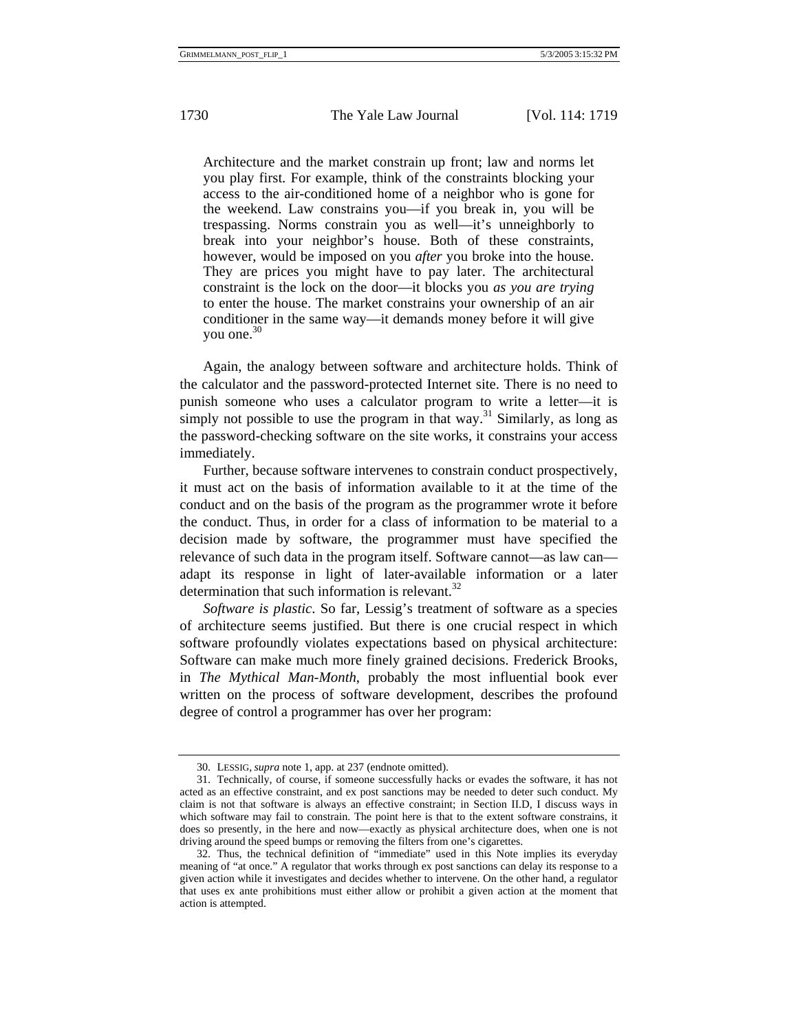Architecture and the market constrain up front; law and norms let you play first. For example, think of the constraints blocking your access to the air-conditioned home of a neighbor who is gone for the weekend. Law constrains you—if you break in, you will be trespassing. Norms constrain you as well—it's unneighborly to break into your neighbor's house. Both of these constraints, however, would be imposed on you *after* you broke into the house. They are prices you might have to pay later. The architectural constraint is the lock on the door—it blocks you *as you are trying*  to enter the house. The market constrains your ownership of an air conditioner in the same way—it demands money before it will give vou one. $30$ 

Again, the analogy between software and architecture holds. Think of the calculator and the password-protected Internet site. There is no need to punish someone who uses a calculator program to write a letter—it is simply not possible to use the program in that way.<sup>31</sup> Similarly, as long as the password-checking software on the site works, it constrains your access immediately.

Further, because software intervenes to constrain conduct prospectively, it must act on the basis of information available to it at the time of the conduct and on the basis of the program as the programmer wrote it before the conduct. Thus, in order for a class of information to be material to a decision made by software, the programmer must have specified the relevance of such data in the program itself. Software cannot—as law can adapt its response in light of later-available information or a later determination that such information is relevant. $32$ 

*Software is plastic*. So far, Lessig's treatment of software as a species of architecture seems justified. But there is one crucial respect in which software profoundly violates expectations based on physical architecture: Software can make much more finely grained decisions. Frederick Brooks, in *The Mythical Man-Month*, probably the most influential book ever written on the process of software development, describes the profound degree of control a programmer has over her program:

<sup>30.</sup> LESSIG, *supra* note 1, app. at 237 (endnote omitted).

<sup>31.</sup> Technically, of course, if someone successfully hacks or evades the software, it has not acted as an effective constraint, and ex post sanctions may be needed to deter such conduct. My claim is not that software is always an effective constraint; in Section II.D, I discuss ways in which software may fail to constrain. The point here is that to the extent software constrains, it does so presently, in the here and now—exactly as physical architecture does, when one is not driving around the speed bumps or removing the filters from one's cigarettes.

<sup>32.</sup> Thus, the technical definition of "immediate" used in this Note implies its everyday meaning of "at once." A regulator that works through ex post sanctions can delay its response to a given action while it investigates and decides whether to intervene. On the other hand, a regulator that uses ex ante prohibitions must either allow or prohibit a given action at the moment that action is attempted.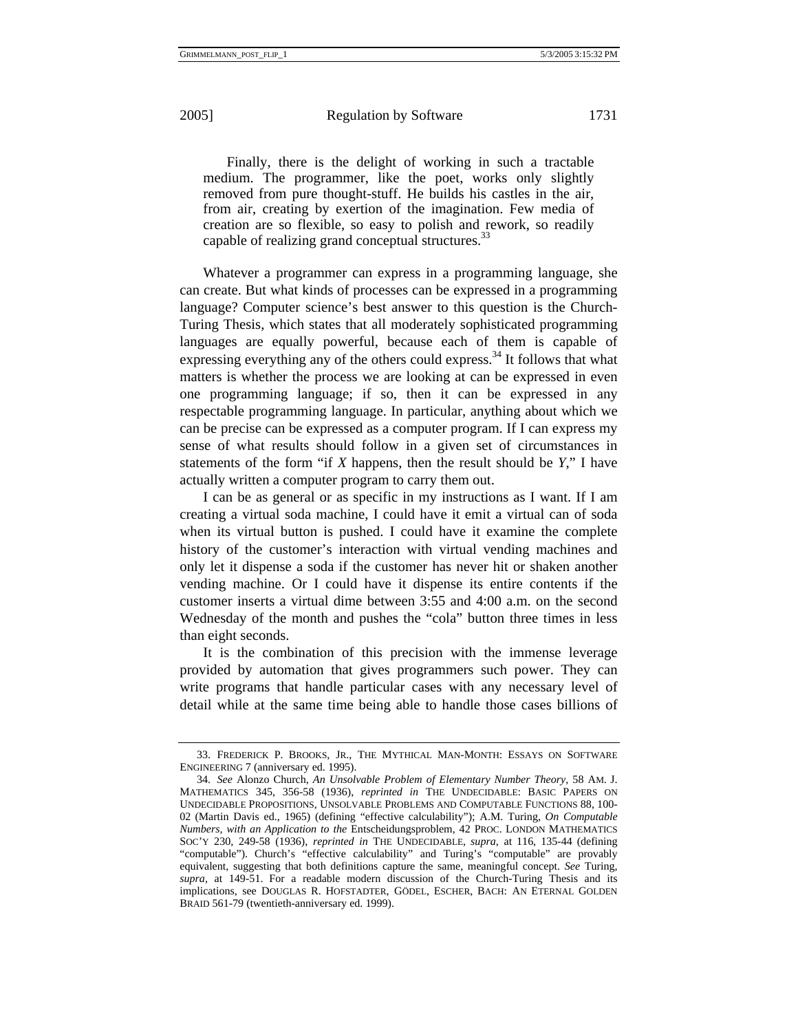Finally, there is the delight of working in such a tractable medium. The programmer, like the poet, works only slightly removed from pure thought-stuff. He builds his castles in the air, from air, creating by exertion of the imagination. Few media of creation are so flexible, so easy to polish and rework, so readily capable of realizing grand conceptual structures.<sup>33</sup>

Whatever a programmer can express in a programming language, she can create. But what kinds of processes can be expressed in a programming language? Computer science's best answer to this question is the Church-Turing Thesis, which states that all moderately sophisticated programming languages are equally powerful, because each of them is capable of expressing everything any of the others could express.<sup>34</sup> It follows that what matters is whether the process we are looking at can be expressed in even one programming language; if so, then it can be expressed in any respectable programming language. In particular, anything about which we can be precise can be expressed as a computer program. If I can express my sense of what results should follow in a given set of circumstances in statements of the form "if *X* happens, then the result should be *Y*," I have actually written a computer program to carry them out.

I can be as general or as specific in my instructions as I want. If I am creating a virtual soda machine, I could have it emit a virtual can of soda when its virtual button is pushed. I could have it examine the complete history of the customer's interaction with virtual vending machines and only let it dispense a soda if the customer has never hit or shaken another vending machine. Or I could have it dispense its entire contents if the customer inserts a virtual dime between 3:55 and 4:00 a.m. on the second Wednesday of the month and pushes the "cola" button three times in less than eight seconds.

It is the combination of this precision with the immense leverage provided by automation that gives programmers such power. They can write programs that handle particular cases with any necessary level of detail while at the same time being able to handle those cases billions of

<sup>33.</sup> FREDERICK P. BROOKS, JR., THE MYTHICAL MAN-MONTH: ESSAYS ON SOFTWARE ENGINEERING 7 (anniversary ed. 1995).

<sup>34.</sup> *See* Alonzo Church, *An Unsolvable Problem of Elementary Number Theory*, 58 AM. J. MATHEMATICS 345, 356-58 (1936), *reprinted in* THE UNDECIDABLE: BASIC PAPERS ON UNDECIDABLE PROPOSITIONS, UNSOLVABLE PROBLEMS AND COMPUTABLE FUNCTIONS 88, 100- 02 (Martin Davis ed., 1965) (defining "effective calculability"); A.M. Turing, *On Computable Numbers, with an Application to the* Entscheidungsproblem, 42 PROC. LONDON MATHEMATICS SOC'Y 230, 249-58 (1936), *reprinted in* THE UNDECIDABLE, *supra*, at 116, 135-44 (defining "computable"). Church's "effective calculability" and Turing's "computable" are provably equivalent, suggesting that both definitions capture the same, meaningful concept. *See* Turing, *supra*, at 149-51. For a readable modern discussion of the Church-Turing Thesis and its implications, see DOUGLAS R. HOFSTADTER, GÖDEL, ESCHER, BACH: AN ETERNAL GOLDEN BRAID 561-79 (twentieth-anniversary ed. 1999).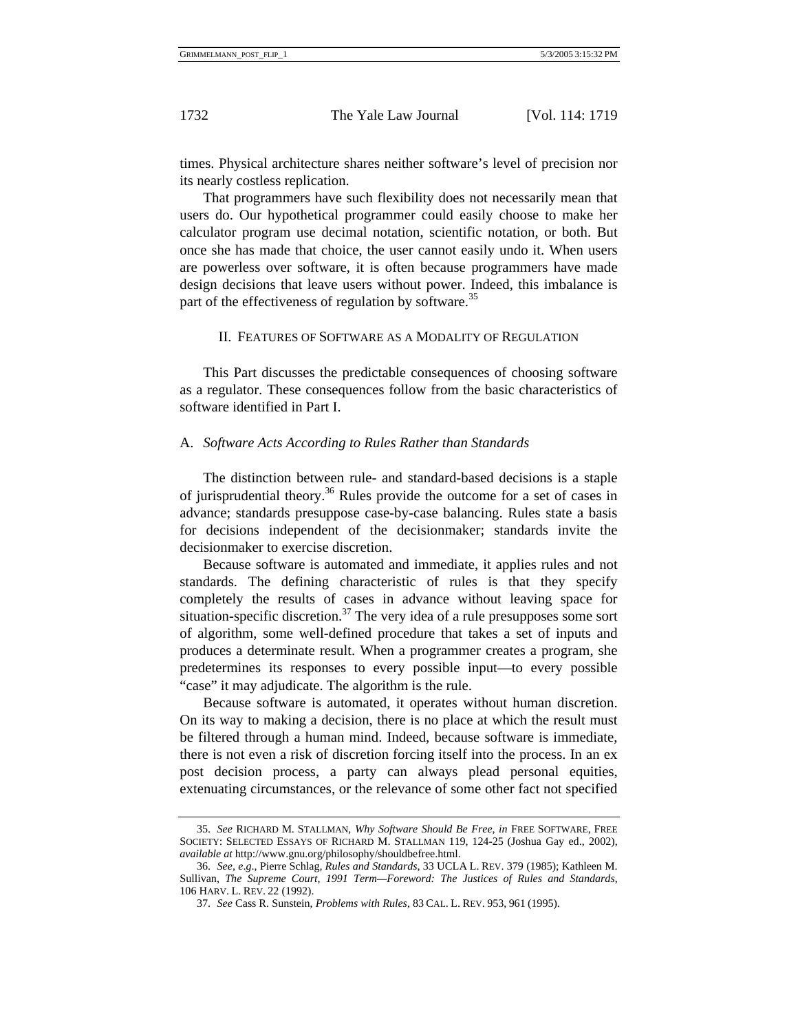times. Physical architecture shares neither software's level of precision nor its nearly costless replication.

That programmers have such flexibility does not necessarily mean that users do. Our hypothetical programmer could easily choose to make her calculator program use decimal notation, scientific notation, or both. But once she has made that choice, the user cannot easily undo it. When users are powerless over software, it is often because programmers have made design decisions that leave users without power. Indeed, this imbalance is part of the effectiveness of regulation by software.<sup>35</sup>

# II. FEATURES OF SOFTWARE AS A MODALITY OF REGULATION

This Part discusses the predictable consequences of choosing software as a regulator. These consequences follow from the basic characteristics of software identified in Part I.

#### A. *Software Acts According to Rules Rather than Standards*

The distinction between rule- and standard-based decisions is a staple of jurisprudential theory.36 Rules provide the outcome for a set of cases in advance; standards presuppose case-by-case balancing. Rules state a basis for decisions independent of the decisionmaker; standards invite the decisionmaker to exercise discretion.

Because software is automated and immediate, it applies rules and not standards. The defining characteristic of rules is that they specify completely the results of cases in advance without leaving space for situation-specific discretion.<sup>37</sup> The very idea of a rule presupposes some sort of algorithm, some well-defined procedure that takes a set of inputs and produces a determinate result. When a programmer creates a program, she predetermines its responses to every possible input—to every possible "case" it may adjudicate. The algorithm is the rule.

Because software is automated, it operates without human discretion. On its way to making a decision, there is no place at which the result must be filtered through a human mind. Indeed, because software is immediate, there is not even a risk of discretion forcing itself into the process. In an ex post decision process, a party can always plead personal equities, extenuating circumstances, or the relevance of some other fact not specified

<sup>35.</sup> *See* RICHARD M. STALLMAN, *Why Software Should Be Free*, *in* FREE SOFTWARE, FREE SOCIETY: SELECTED ESSAYS OF RICHARD M. STALLMAN 119, 124-25 (Joshua Gay ed., 2002), *available at* http://www.gnu.org/philosophy/shouldbefree.html.

<sup>36.</sup> *See, e*.*g*., Pierre Schlag, *Rules and Standards*, 33 UCLA L. REV. 379 (1985); Kathleen M. Sullivan, *The Supreme Court, 1991 Term—Foreword: The Justices of Rules and Standards*, 106 HARV. L. REV. 22 (1992).

<sup>37.</sup> *See* Cass R. Sunstein, *Problems with Rules*, 83 CAL. L. REV. 953, 961 (1995).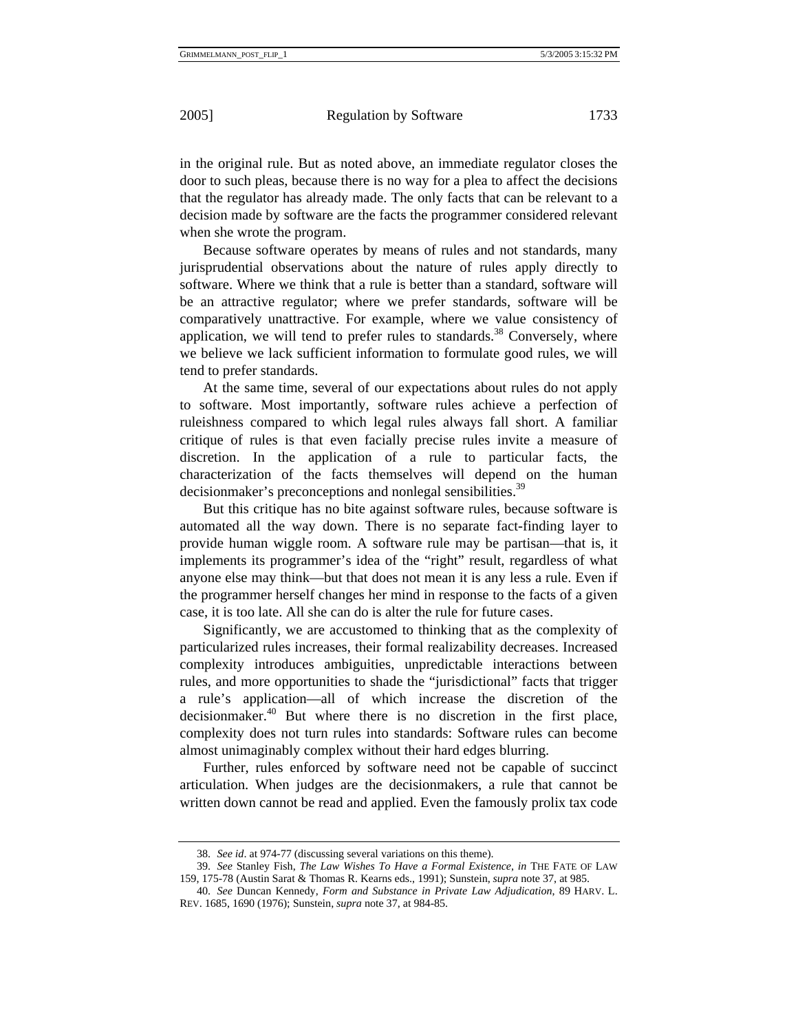in the original rule. But as noted above, an immediate regulator closes the door to such pleas, because there is no way for a plea to affect the decisions that the regulator has already made. The only facts that can be relevant to a decision made by software are the facts the programmer considered relevant when she wrote the program.

Because software operates by means of rules and not standards, many jurisprudential observations about the nature of rules apply directly to software. Where we think that a rule is better than a standard, software will be an attractive regulator; where we prefer standards, software will be comparatively unattractive. For example, where we value consistency of application, we will tend to prefer rules to standards.<sup>38</sup> Conversely, where we believe we lack sufficient information to formulate good rules, we will tend to prefer standards.

At the same time, several of our expectations about rules do not apply to software. Most importantly, software rules achieve a perfection of ruleishness compared to which legal rules always fall short. A familiar critique of rules is that even facially precise rules invite a measure of discretion. In the application of a rule to particular facts, the characterization of the facts themselves will depend on the human decisionmaker's preconceptions and nonlegal sensibilities.<sup>39</sup>

But this critique has no bite against software rules, because software is automated all the way down. There is no separate fact-finding layer to provide human wiggle room. A software rule may be partisan—that is, it implements its programmer's idea of the "right" result, regardless of what anyone else may think—but that does not mean it is any less a rule. Even if the programmer herself changes her mind in response to the facts of a given case, it is too late. All she can do is alter the rule for future cases.

Significantly, we are accustomed to thinking that as the complexity of particularized rules increases, their formal realizability decreases. Increased complexity introduces ambiguities, unpredictable interactions between rules, and more opportunities to shade the "jurisdictional" facts that trigger a rule's application—all of which increase the discretion of the decisionmaker.<sup>40</sup> But where there is no discretion in the first place, complexity does not turn rules into standards: Software rules can become almost unimaginably complex without their hard edges blurring.

Further, rules enforced by software need not be capable of succinct articulation. When judges are the decisionmakers, a rule that cannot be written down cannot be read and applied. Even the famously prolix tax code

<sup>38.</sup> *See id*. at 974-77 (discussing several variations on this theme).

<sup>39.</sup> *See* Stanley Fish, *The Law Wishes To Have a Formal Existence*, *in* THE FATE OF LAW 159, 175-78 (Austin Sarat & Thomas R. Kearns eds., 1991); Sunstein, *supra* note 37, at 985.

<sup>40.</sup> *See* Duncan Kennedy, *Form and Substance in Private Law Adjudication*, 89 HARV. L. REV. 1685, 1690 (1976); Sunstein, *supra* note 37, at 984-85.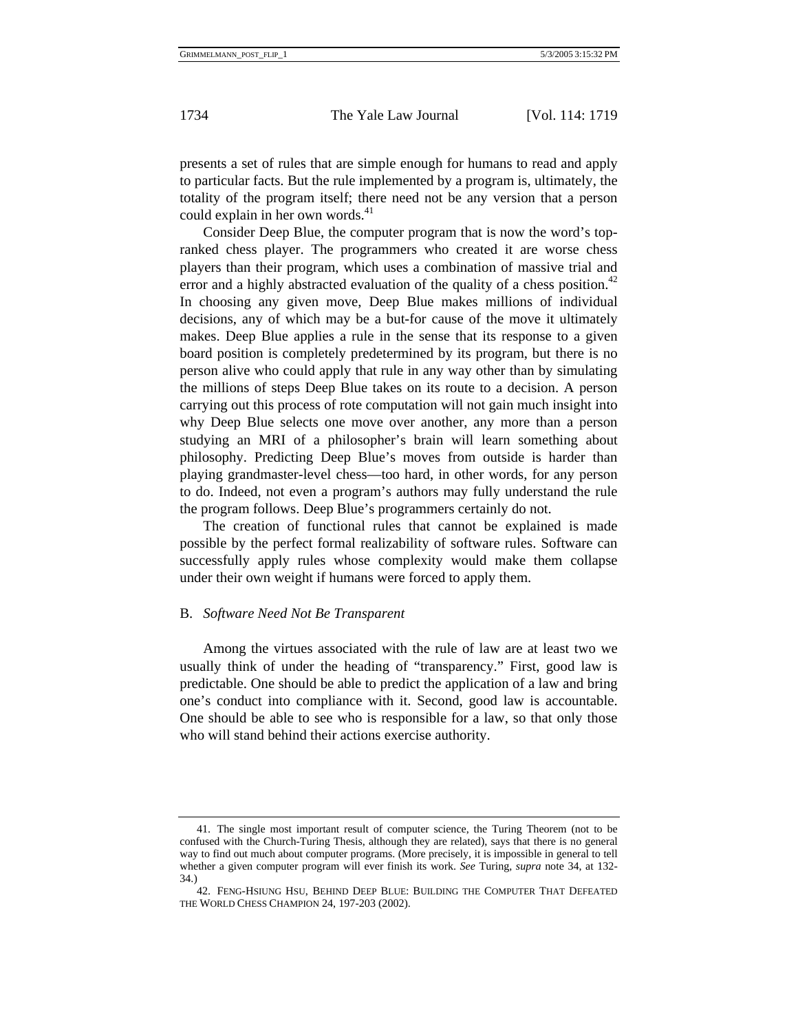presents a set of rules that are simple enough for humans to read and apply to particular facts. But the rule implemented by a program is, ultimately, the totality of the program itself; there need not be any version that a person could explain in her own words.<sup>41</sup>

Consider Deep Blue, the computer program that is now the word's topranked chess player. The programmers who created it are worse chess players than their program, which uses a combination of massive trial and error and a highly abstracted evaluation of the quality of a chess position.<sup>42</sup> In choosing any given move, Deep Blue makes millions of individual decisions, any of which may be a but-for cause of the move it ultimately makes. Deep Blue applies a rule in the sense that its response to a given board position is completely predetermined by its program, but there is no person alive who could apply that rule in any way other than by simulating the millions of steps Deep Blue takes on its route to a decision. A person carrying out this process of rote computation will not gain much insight into why Deep Blue selects one move over another, any more than a person studying an MRI of a philosopher's brain will learn something about philosophy. Predicting Deep Blue's moves from outside is harder than playing grandmaster-level chess—too hard, in other words, for any person to do. Indeed, not even a program's authors may fully understand the rule the program follows. Deep Blue's programmers certainly do not.

The creation of functional rules that cannot be explained is made possible by the perfect formal realizability of software rules. Software can successfully apply rules whose complexity would make them collapse under their own weight if humans were forced to apply them.

#### B. *Software Need Not Be Transparent*

Among the virtues associated with the rule of law are at least two we usually think of under the heading of "transparency." First, good law is predictable. One should be able to predict the application of a law and bring one's conduct into compliance with it. Second, good law is accountable. One should be able to see who is responsible for a law, so that only those who will stand behind their actions exercise authority.

<sup>41.</sup> The single most important result of computer science, the Turing Theorem (not to be confused with the Church-Turing Thesis, although they are related), says that there is no general way to find out much about computer programs. (More precisely, it is impossible in general to tell whether a given computer program will ever finish its work. *See* Turing, *supra* note 34, at 132- 34.)

<sup>42.</sup> FENG-HSIUNG HSU, BEHIND DEEP BLUE: BUILDING THE COMPUTER THAT DEFEATED THE WORLD CHESS CHAMPION 24, 197-203 (2002).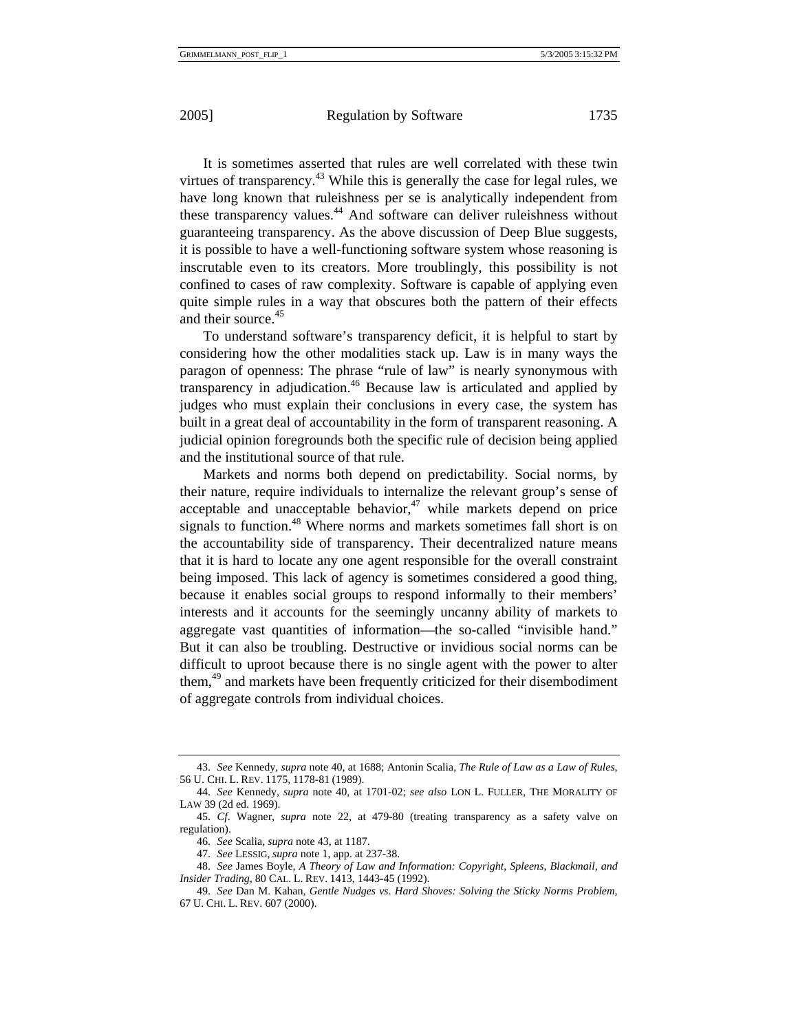It is sometimes asserted that rules are well correlated with these twin virtues of transparency.<sup>43</sup> While this is generally the case for legal rules, we have long known that ruleishness per se is analytically independent from these transparency values.<sup>44</sup> And software can deliver ruleishness without guaranteeing transparency. As the above discussion of Deep Blue suggests, it is possible to have a well-functioning software system whose reasoning is inscrutable even to its creators. More troublingly, this possibility is not confined to cases of raw complexity. Software is capable of applying even quite simple rules in a way that obscures both the pattern of their effects and their source.<sup>45</sup>

To understand software's transparency deficit, it is helpful to start by considering how the other modalities stack up. Law is in many ways the paragon of openness: The phrase "rule of law" is nearly synonymous with transparency in adjudication.<sup>46</sup> Because law is articulated and applied by judges who must explain their conclusions in every case, the system has built in a great deal of accountability in the form of transparent reasoning. A judicial opinion foregrounds both the specific rule of decision being applied and the institutional source of that rule.

Markets and norms both depend on predictability. Social norms, by their nature, require individuals to internalize the relevant group's sense of acceptable and unacceptable behavior, $47$  while markets depend on price signals to function.<sup>48</sup> Where norms and markets sometimes fall short is on the accountability side of transparency. Their decentralized nature means that it is hard to locate any one agent responsible for the overall constraint being imposed. This lack of agency is sometimes considered a good thing, because it enables social groups to respond informally to their members' interests and it accounts for the seemingly uncanny ability of markets to aggregate vast quantities of information—the so-called "invisible hand." But it can also be troubling. Destructive or invidious social norms can be difficult to uproot because there is no single agent with the power to alter them,<sup>49</sup> and markets have been frequently criticized for their disembodiment of aggregate controls from individual choices.

<sup>43.</sup> *See* Kennedy, *supra* note 40, at 1688; Antonin Scalia, *The Rule of Law as a Law of Rules*, 56 U. CHI. L. REV. 1175, 1178-81 (1989).

<sup>44.</sup> *See* Kennedy, *supra* note 40, at 1701-02; *see also* LON L. FULLER, THE MORALITY OF LAW 39 (2d ed. 1969).

<sup>45.</sup> *Cf*. Wagner, *supra* note 22, at 479-80 (treating transparency as a safety valve on regulation).

<sup>46.</sup> *See* Scalia, *supra* note 43, at 1187.

<sup>47.</sup> *See* LESSIG, *supra* note 1, app. at 237-38.

<sup>48.</sup> *See* James Boyle, *A Theory of Law and Information: Copyright, Spleens, Blackmail, and Insider Trading*, 80 CAL. L. REV. 1413, 1443-45 (1992).

<sup>49.</sup> *See* Dan M. Kahan, *Gentle Nudges vs*. *Hard Shoves: Solving the Sticky Norms Problem*, 67 U. CHI. L. REV. 607 (2000).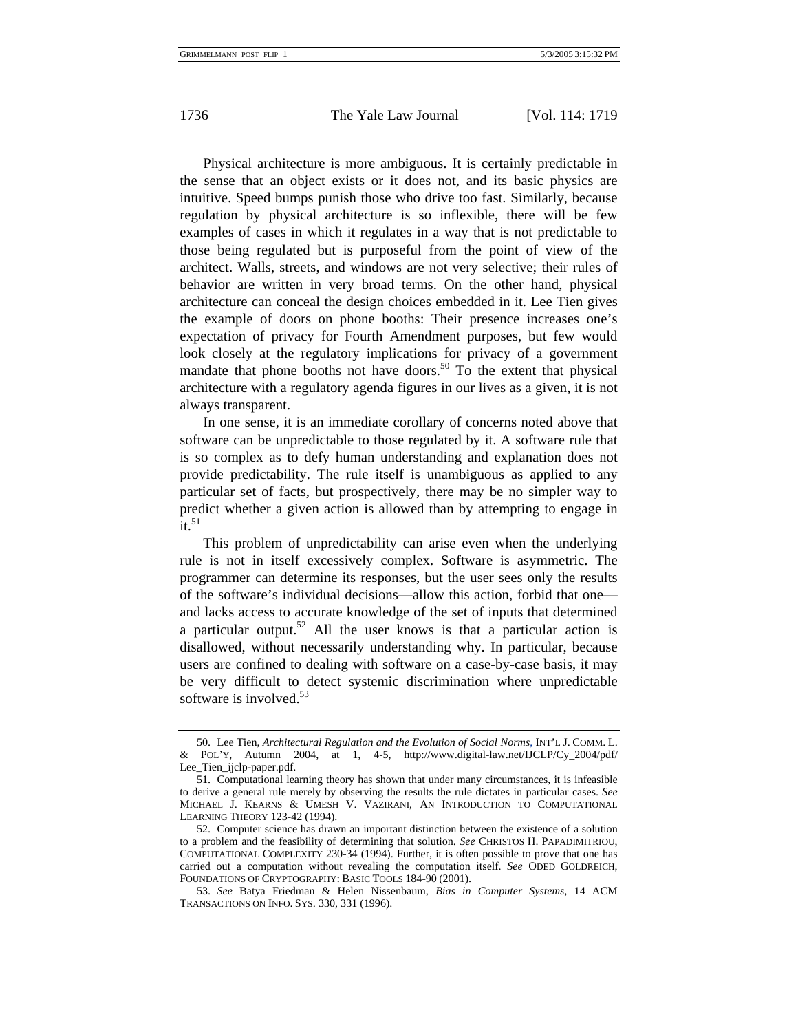Physical architecture is more ambiguous. It is certainly predictable in the sense that an object exists or it does not, and its basic physics are intuitive. Speed bumps punish those who drive too fast. Similarly, because regulation by physical architecture is so inflexible, there will be few examples of cases in which it regulates in a way that is not predictable to those being regulated but is purposeful from the point of view of the architect. Walls, streets, and windows are not very selective; their rules of behavior are written in very broad terms. On the other hand, physical architecture can conceal the design choices embedded in it. Lee Tien gives the example of doors on phone booths: Their presence increases one's expectation of privacy for Fourth Amendment purposes, but few would look closely at the regulatory implications for privacy of a government mandate that phone booths not have doors.<sup>50</sup> To the extent that physical architecture with a regulatory agenda figures in our lives as a given, it is not always transparent.

In one sense, it is an immediate corollary of concerns noted above that software can be unpredictable to those regulated by it. A software rule that is so complex as to defy human understanding and explanation does not provide predictability. The rule itself is unambiguous as applied to any particular set of facts, but prospectively, there may be no simpler way to predict whether a given action is allowed than by attempting to engage in  $it.$ <sup>51</sup>

This problem of unpredictability can arise even when the underlying rule is not in itself excessively complex. Software is asymmetric. The programmer can determine its responses, but the user sees only the results of the software's individual decisions—allow this action, forbid that one and lacks access to accurate knowledge of the set of inputs that determined a particular output.<sup>52</sup> All the user knows is that a particular action is disallowed, without necessarily understanding why. In particular, because users are confined to dealing with software on a case-by-case basis, it may be very difficult to detect systemic discrimination where unpredictable software is involved. $53$ 

<sup>50.</sup> Lee Tien, *Architectural Regulation and the Evolution of Social Norms*, INT'L J. COMM. L. & POL'Y, Autumn 2004, at 1, 4-5, http://www.digital-law.net/IJCLP/Cy\_2004/pdf/ Lee\_Tien\_ijclp-paper.pdf.

<sup>51.</sup> Computational learning theory has shown that under many circumstances, it is infeasible to derive a general rule merely by observing the results the rule dictates in particular cases. *See* MICHAEL J. KEARNS & UMESH V. VAZIRANI, AN INTRODUCTION TO COMPUTATIONAL LEARNING THEORY 123-42 (1994).

<sup>52.</sup> Computer science has drawn an important distinction between the existence of a solution to a problem and the feasibility of determining that solution. *See* CHRISTOS H. PAPADIMITRIOU, COMPUTATIONAL COMPLEXITY 230-34 (1994). Further, it is often possible to prove that one has carried out a computation without revealing the computation itself. *See* ODED GOLDREICH, FOUNDATIONS OF CRYPTOGRAPHY: BASIC TOOLS 184-90 (2001).

<sup>53.</sup> *See* Batya Friedman & Helen Nissenbaum, *Bias in Computer Systems*, 14 ACM TRANSACTIONS ON INFO. SYS. 330, 331 (1996).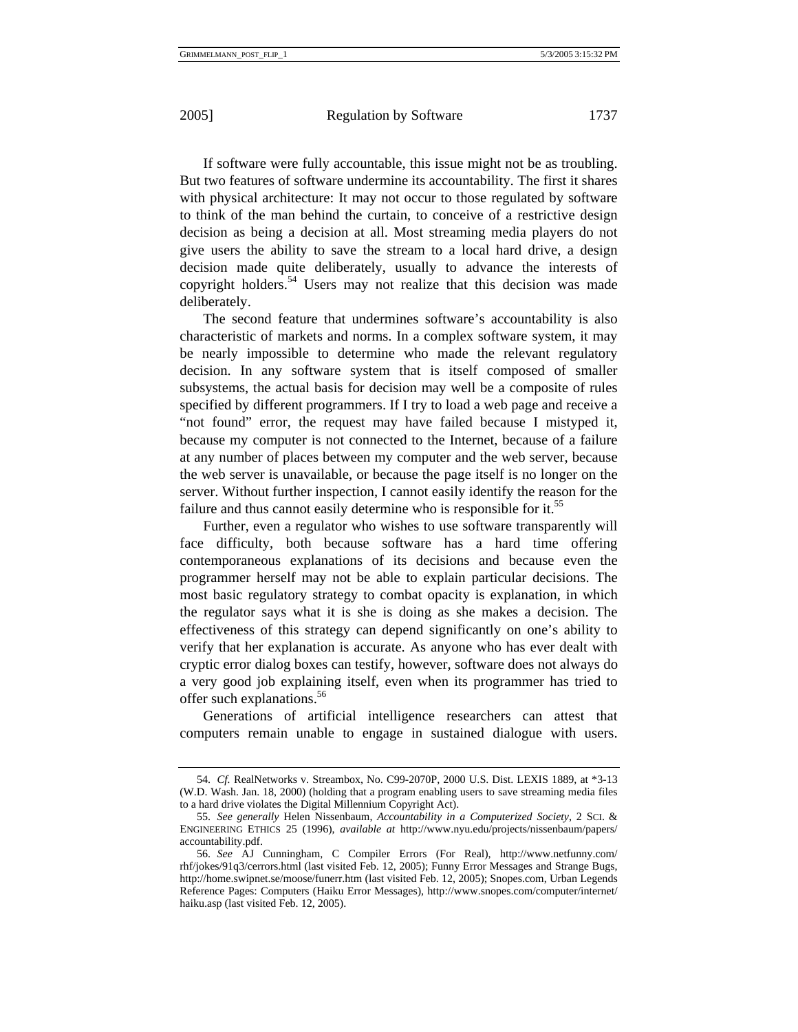If software were fully accountable, this issue might not be as troubling. But two features of software undermine its accountability. The first it shares with physical architecture: It may not occur to those regulated by software to think of the man behind the curtain, to conceive of a restrictive design decision as being a decision at all. Most streaming media players do not give users the ability to save the stream to a local hard drive, a design decision made quite deliberately, usually to advance the interests of copyright holders.<sup>54</sup> Users may not realize that this decision was made deliberately.

The second feature that undermines software's accountability is also characteristic of markets and norms. In a complex software system, it may be nearly impossible to determine who made the relevant regulatory decision. In any software system that is itself composed of smaller subsystems, the actual basis for decision may well be a composite of rules specified by different programmers. If I try to load a web page and receive a "not found" error, the request may have failed because I mistyped it, because my computer is not connected to the Internet, because of a failure at any number of places between my computer and the web server, because the web server is unavailable, or because the page itself is no longer on the server. Without further inspection, I cannot easily identify the reason for the failure and thus cannot easily determine who is responsible for it.<sup>55</sup>

Further, even a regulator who wishes to use software transparently will face difficulty, both because software has a hard time offering contemporaneous explanations of its decisions and because even the programmer herself may not be able to explain particular decisions. The most basic regulatory strategy to combat opacity is explanation, in which the regulator says what it is she is doing as she makes a decision. The effectiveness of this strategy can depend significantly on one's ability to verify that her explanation is accurate. As anyone who has ever dealt with cryptic error dialog boxes can testify, however, software does not always do a very good job explaining itself, even when its programmer has tried to offer such explanations.<sup>56</sup>

Generations of artificial intelligence researchers can attest that computers remain unable to engage in sustained dialogue with users.

<sup>54.</sup> *Cf.* RealNetworks v. Streambox, No. C99-2070P, 2000 U.S. Dist. LEXIS 1889, at \*3-13 (W.D. Wash. Jan. 18, 2000) (holding that a program enabling users to save streaming media files to a hard drive violates the Digital Millennium Copyright Act).

<sup>55.</sup> *See generally* Helen Nissenbaum, *Accountability in a Computerized Society*, 2 SCI. & ENGINEERING ETHICS 25 (1996), *available at* http://www.nyu.edu/projects/nissenbaum/papers/ accountability.pdf.

<sup>56.</sup> *See* AJ Cunningham, C Compiler Errors (For Real), http://www.netfunny.com/ rhf/jokes/91q3/cerrors.html (last visited Feb. 12, 2005); Funny Error Messages and Strange Bugs, http://home.swipnet.se/moose/funerr.htm (last visited Feb. 12, 2005); Snopes.com, Urban Legends Reference Pages: Computers (Haiku Error Messages), http://www.snopes.com/computer/internet/ haiku.asp (last visited Feb. 12, 2005).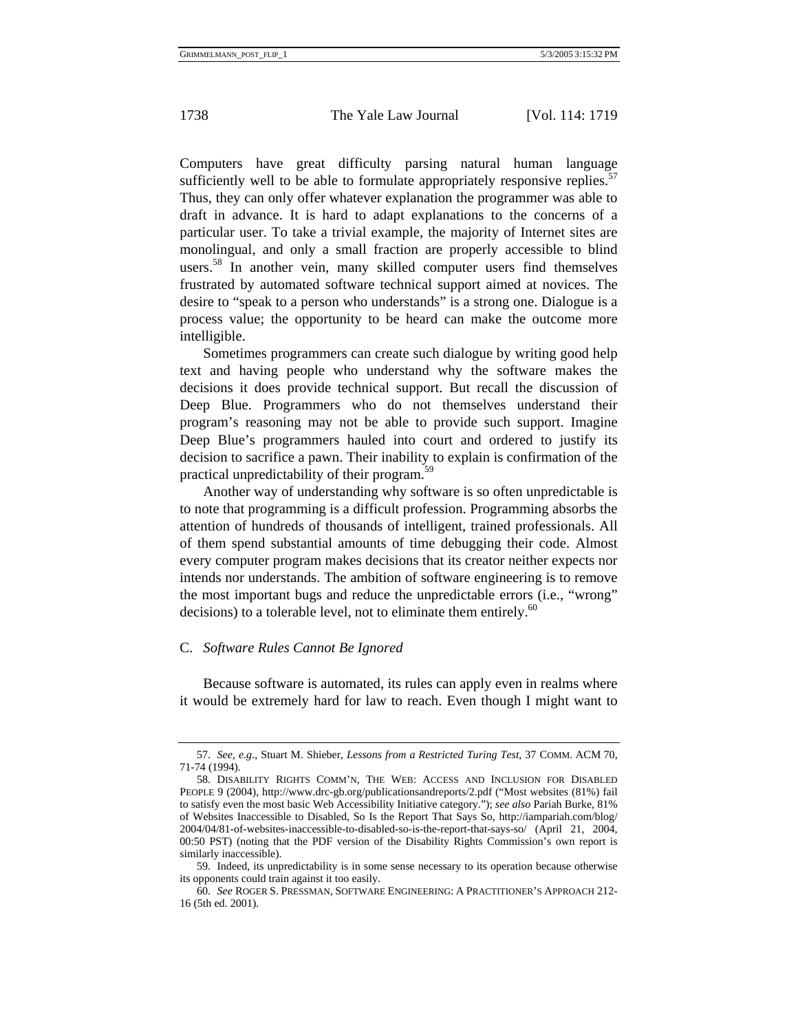Computers have great difficulty parsing natural human language sufficiently well to be able to formulate appropriately responsive replies.<sup>57</sup> Thus, they can only offer whatever explanation the programmer was able to draft in advance. It is hard to adapt explanations to the concerns of a particular user. To take a trivial example, the majority of Internet sites are monolingual, and only a small fraction are properly accessible to blind users.<sup>58</sup> In another vein, many skilled computer users find themselves frustrated by automated software technical support aimed at novices. The desire to "speak to a person who understands" is a strong one. Dialogue is a process value; the opportunity to be heard can make the outcome more intelligible.

Sometimes programmers can create such dialogue by writing good help text and having people who understand why the software makes the decisions it does provide technical support. But recall the discussion of Deep Blue. Programmers who do not themselves understand their program's reasoning may not be able to provide such support. Imagine Deep Blue's programmers hauled into court and ordered to justify its decision to sacrifice a pawn. Their inability to explain is confirmation of the practical unpredictability of their program.59

Another way of understanding why software is so often unpredictable is to note that programming is a difficult profession. Programming absorbs the attention of hundreds of thousands of intelligent, trained professionals. All of them spend substantial amounts of time debugging their code. Almost every computer program makes decisions that its creator neither expects nor intends nor understands. The ambition of software engineering is to remove the most important bugs and reduce the unpredictable errors (i.e., "wrong" decisions) to a tolerable level, not to eliminate them entirely.<sup>60</sup>

#### C. *Software Rules Cannot Be Ignored*

Because software is automated, its rules can apply even in realms where it would be extremely hard for law to reach. Even though I might want to

<sup>57.</sup> *See, e*.*g*., Stuart M. Shieber, *Lessons from a Restricted Turing Test*, 37 COMM. ACM 70, 71-74 (1994).

<sup>58.</sup> DISABILITY RIGHTS COMM'N, THE WEB: ACCESS AND INCLUSION FOR DISABLED PEOPLE 9 (2004), http://www.drc-gb.org/publicationsandreports/2.pdf ("Most websites (81%) fail to satisfy even the most basic Web Accessibility Initiative category."); *see also* Pariah Burke, 81% of Websites Inaccessible to Disabled, So Is the Report That Says So, http://iampariah.com/blog/ 2004/04/81-of-websites-inaccessible-to-disabled-so-is-the-report-that-says-so/ (April 21, 2004, 00:50 PST) (noting that the PDF version of the Disability Rights Commission's own report is similarly inaccessible).

<sup>59.</sup> Indeed, its unpredictability is in some sense necessary to its operation because otherwise its opponents could train against it too easily.

<sup>60.</sup> *See* ROGER S. PRESSMAN, SOFTWARE ENGINEERING: A PRACTITIONER'S APPROACH 212- 16 (5th ed. 2001).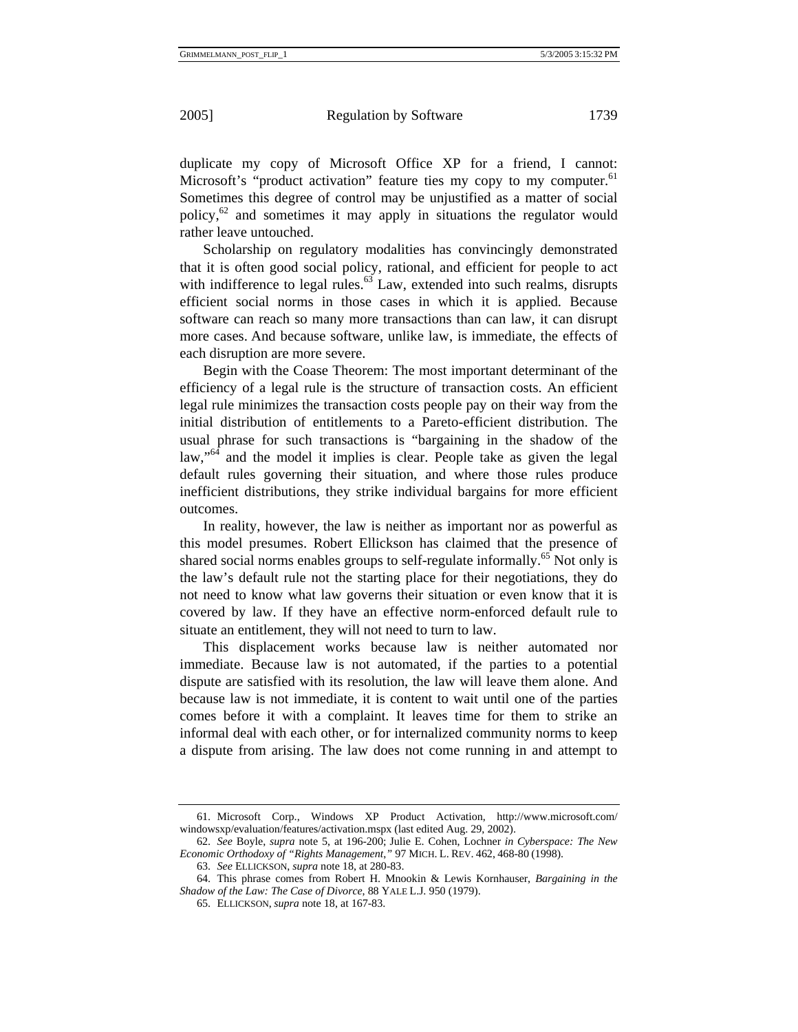duplicate my copy of Microsoft Office XP for a friend, I cannot: Microsoft's "product activation" feature ties my copy to my computer.<sup>61</sup> Sometimes this degree of control may be unjustified as a matter of social policy,62 and sometimes it may apply in situations the regulator would rather leave untouched.

Scholarship on regulatory modalities has convincingly demonstrated that it is often good social policy, rational, and efficient for people to act with indifference to legal rules. $^{63}$  Law, extended into such realms, disrupts efficient social norms in those cases in which it is applied. Because software can reach so many more transactions than can law, it can disrupt more cases. And because software, unlike law, is immediate, the effects of each disruption are more severe.

Begin with the Coase Theorem: The most important determinant of the efficiency of a legal rule is the structure of transaction costs. An efficient legal rule minimizes the transaction costs people pay on their way from the initial distribution of entitlements to a Pareto-efficient distribution. The usual phrase for such transactions is "bargaining in the shadow of the law,"<sup>64</sup> and the model it implies is clear. People take as given the legal default rules governing their situation, and where those rules produce inefficient distributions, they strike individual bargains for more efficient outcomes.

In reality, however, the law is neither as important nor as powerful as this model presumes. Robert Ellickson has claimed that the presence of shared social norms enables groups to self-regulate informally.<sup>65</sup> Not only is the law's default rule not the starting place for their negotiations, they do not need to know what law governs their situation or even know that it is covered by law. If they have an effective norm-enforced default rule to situate an entitlement, they will not need to turn to law.

This displacement works because law is neither automated nor immediate. Because law is not automated, if the parties to a potential dispute are satisfied with its resolution, the law will leave them alone. And because law is not immediate, it is content to wait until one of the parties comes before it with a complaint. It leaves time for them to strike an informal deal with each other, or for internalized community norms to keep a dispute from arising. The law does not come running in and attempt to

<sup>61.</sup> Microsoft Corp., Windows XP Product Activation, http://www.microsoft.com/ windowsxp/evaluation/features/activation.mspx (last edited Aug. 29, 2002).

<sup>62.</sup> *See* Boyle, *supra* note 5, at 196-200; Julie E. Cohen, Lochner *in Cyberspace: The New Economic Orthodoxy of "Rights Management*,*"* 97 MICH. L. REV. 462, 468-80 (1998).

<sup>63.</sup> *See* ELLICKSON, *supra* note 18, at 280-83.

<sup>64.</sup> This phrase comes from Robert H. Mnookin & Lewis Kornhauser, *Bargaining in the Shadow of the Law: The Case of Divorce*, 88 YALE L.J. 950 (1979).

<sup>65.</sup> ELLICKSON, *supra* note 18, at 167-83.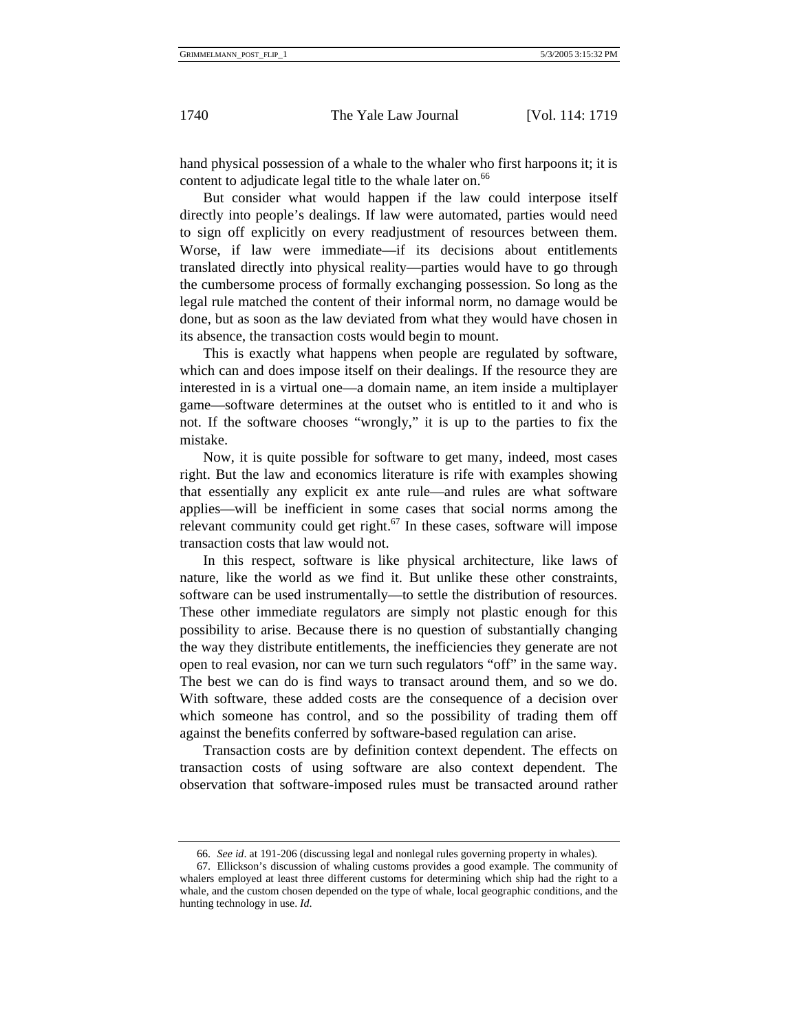hand physical possession of a whale to the whaler who first harpoons it; it is content to adjudicate legal title to the whale later on.<sup>66</sup>

But consider what would happen if the law could interpose itself directly into people's dealings. If law were automated, parties would need to sign off explicitly on every readjustment of resources between them. Worse, if law were immediate—if its decisions about entitlements translated directly into physical reality—parties would have to go through the cumbersome process of formally exchanging possession. So long as the legal rule matched the content of their informal norm, no damage would be done, but as soon as the law deviated from what they would have chosen in its absence, the transaction costs would begin to mount.

This is exactly what happens when people are regulated by software, which can and does impose itself on their dealings. If the resource they are interested in is a virtual one—a domain name, an item inside a multiplayer game—software determines at the outset who is entitled to it and who is not. If the software chooses "wrongly," it is up to the parties to fix the mistake.

Now, it is quite possible for software to get many, indeed, most cases right. But the law and economics literature is rife with examples showing that essentially any explicit ex ante rule—and rules are what software applies—will be inefficient in some cases that social norms among the relevant community could get right.<sup>67</sup> In these cases, software will impose transaction costs that law would not.

In this respect, software is like physical architecture, like laws of nature, like the world as we find it. But unlike these other constraints, software can be used instrumentally—to settle the distribution of resources. These other immediate regulators are simply not plastic enough for this possibility to arise. Because there is no question of substantially changing the way they distribute entitlements, the inefficiencies they generate are not open to real evasion, nor can we turn such regulators "off" in the same way. The best we can do is find ways to transact around them, and so we do. With software, these added costs are the consequence of a decision over which someone has control, and so the possibility of trading them off against the benefits conferred by software-based regulation can arise.

Transaction costs are by definition context dependent. The effects on transaction costs of using software are also context dependent. The observation that software-imposed rules must be transacted around rather

<sup>66.</sup> *See id*. at 191-206 (discussing legal and nonlegal rules governing property in whales).

<sup>67.</sup> Ellickson's discussion of whaling customs provides a good example. The community of whalers employed at least three different customs for determining which ship had the right to a whale, and the custom chosen depended on the type of whale, local geographic conditions, and the hunting technology in use. *Id*.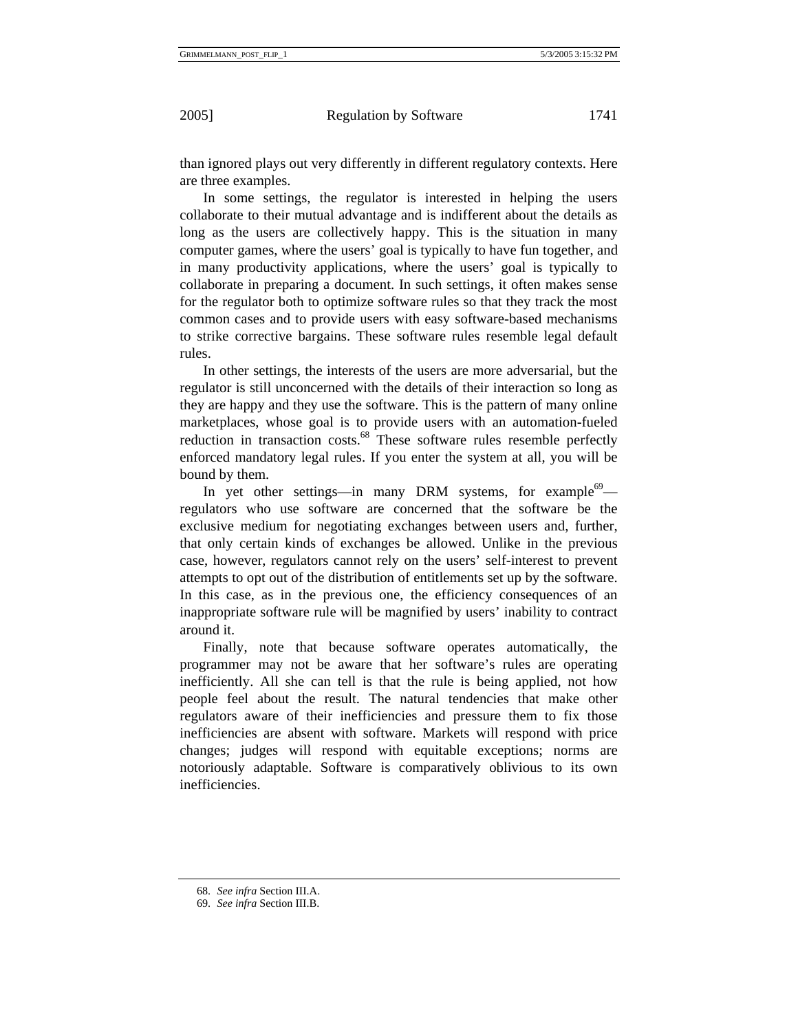than ignored plays out very differently in different regulatory contexts. Here are three examples.

In some settings, the regulator is interested in helping the users collaborate to their mutual advantage and is indifferent about the details as long as the users are collectively happy. This is the situation in many computer games, where the users' goal is typically to have fun together, and in many productivity applications, where the users' goal is typically to collaborate in preparing a document. In such settings, it often makes sense for the regulator both to optimize software rules so that they track the most common cases and to provide users with easy software-based mechanisms to strike corrective bargains. These software rules resemble legal default rules.

In other settings, the interests of the users are more adversarial, but the regulator is still unconcerned with the details of their interaction so long as they are happy and they use the software. This is the pattern of many online marketplaces, whose goal is to provide users with an automation-fueled reduction in transaction costs.<sup>68</sup> These software rules resemble perfectly enforced mandatory legal rules. If you enter the system at all, you will be bound by them.

In yet other settings—in many DRM systems, for example $^{69}$  regulators who use software are concerned that the software be the exclusive medium for negotiating exchanges between users and, further, that only certain kinds of exchanges be allowed. Unlike in the previous case, however, regulators cannot rely on the users' self-interest to prevent attempts to opt out of the distribution of entitlements set up by the software. In this case, as in the previous one, the efficiency consequences of an inappropriate software rule will be magnified by users' inability to contract around it.

Finally, note that because software operates automatically, the programmer may not be aware that her software's rules are operating inefficiently. All she can tell is that the rule is being applied, not how people feel about the result. The natural tendencies that make other regulators aware of their inefficiencies and pressure them to fix those inefficiencies are absent with software. Markets will respond with price changes; judges will respond with equitable exceptions; norms are notoriously adaptable. Software is comparatively oblivious to its own inefficiencies.

<sup>68.</sup> *See infra* Section III.A.

<sup>69.</sup> *See infra* Section III.B.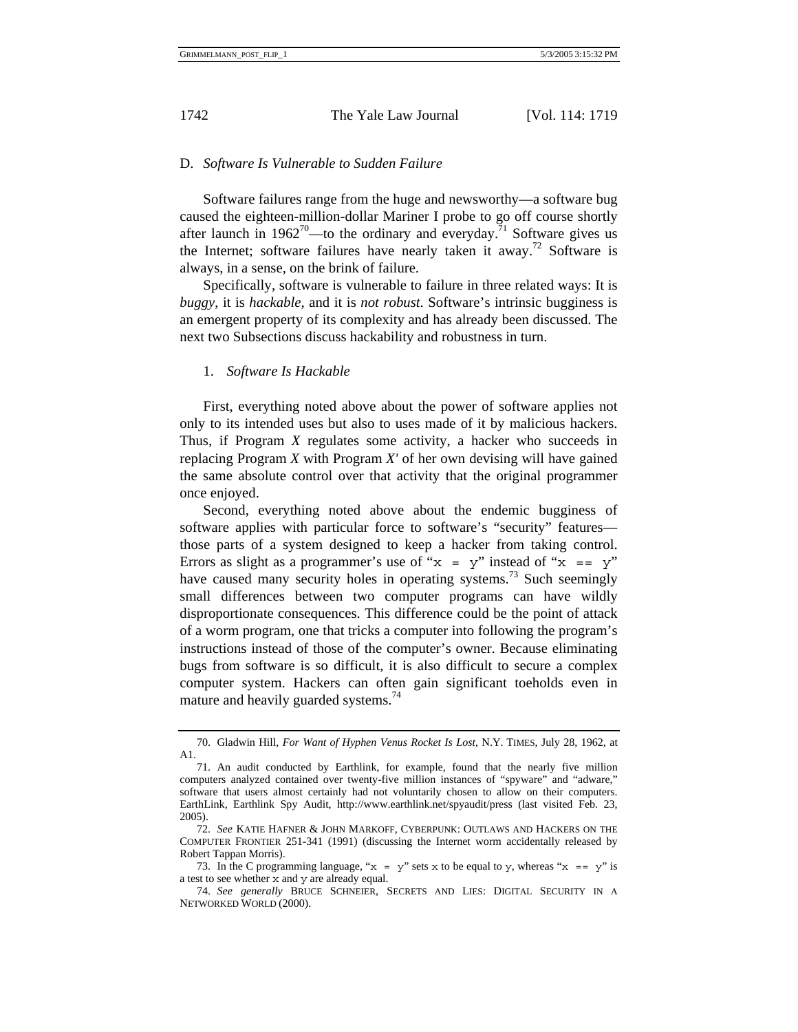#### D. *Software Is Vulnerable to Sudden Failure*

Software failures range from the huge and newsworthy—a software bug caused the eighteen-million-dollar Mariner I probe to go off course shortly after launch in 1962<sup>70</sup>—to the ordinary and everyday.<sup>71</sup> Software gives us the Internet; software failures have nearly taken it away.<sup>72</sup> Software is always, in a sense, on the brink of failure.

Specifically, software is vulnerable to failure in three related ways: It is *buggy*, it is *hackable*, and it is *not robust*. Software's intrinsic bugginess is an emergent property of its complexity and has already been discussed. The next two Subsections discuss hackability and robustness in turn.

#### 1. *Software Is Hackable*

First, everything noted above about the power of software applies not only to its intended uses but also to uses made of it by malicious hackers. Thus, if Program *X* regulates some activity, a hacker who succeeds in replacing Program *X* with Program *X'* of her own devising will have gained the same absolute control over that activity that the original programmer once enjoyed.

Second, everything noted above about the endemic bugginess of software applies with particular force to software's "security" features those parts of a system designed to keep a hacker from taking control. Errors as slight as a programmer's use of " $x = y$ " instead of " $x = y$ " have caused many security holes in operating systems.<sup>73</sup> Such seemingly small differences between two computer programs can have wildly disproportionate consequences. This difference could be the point of attack of a worm program, one that tricks a computer into following the program's instructions instead of those of the computer's owner. Because eliminating bugs from software is so difficult, it is also difficult to secure a complex computer system. Hackers can often gain significant toeholds even in mature and heavily guarded systems.<sup>74</sup>

<sup>70.</sup> Gladwin Hill, *For Want of Hyphen Venus Rocket Is Lost*, N.Y. TIMES, July 28, 1962, at A1.

<sup>71.</sup> An audit conducted by Earthlink, for example, found that the nearly five million computers analyzed contained over twenty-five million instances of "spyware" and "adware," software that users almost certainly had not voluntarily chosen to allow on their computers. EarthLink, Earthlink Spy Audit, http://www.earthlink.net/spyaudit/press (last visited Feb. 23, 2005).

<sup>72.</sup> *See* KATIE HAFNER & JOHN MARKOFF, CYBERPUNK: OUTLAWS AND HACKERS ON THE COMPUTER FRONTIER 251-341 (1991) (discussing the Internet worm accidentally released by Robert Tappan Morris).

<sup>73.</sup> In the C programming language, " $x = y$ " sets x to be equal to y, whereas " $x = y$ " is a test to see whether x and y are already equal.

<sup>74.</sup> *See generally* BRUCE SCHNEIER, SECRETS AND LIES: DIGITAL SECURITY IN A NETWORKED WORLD (2000).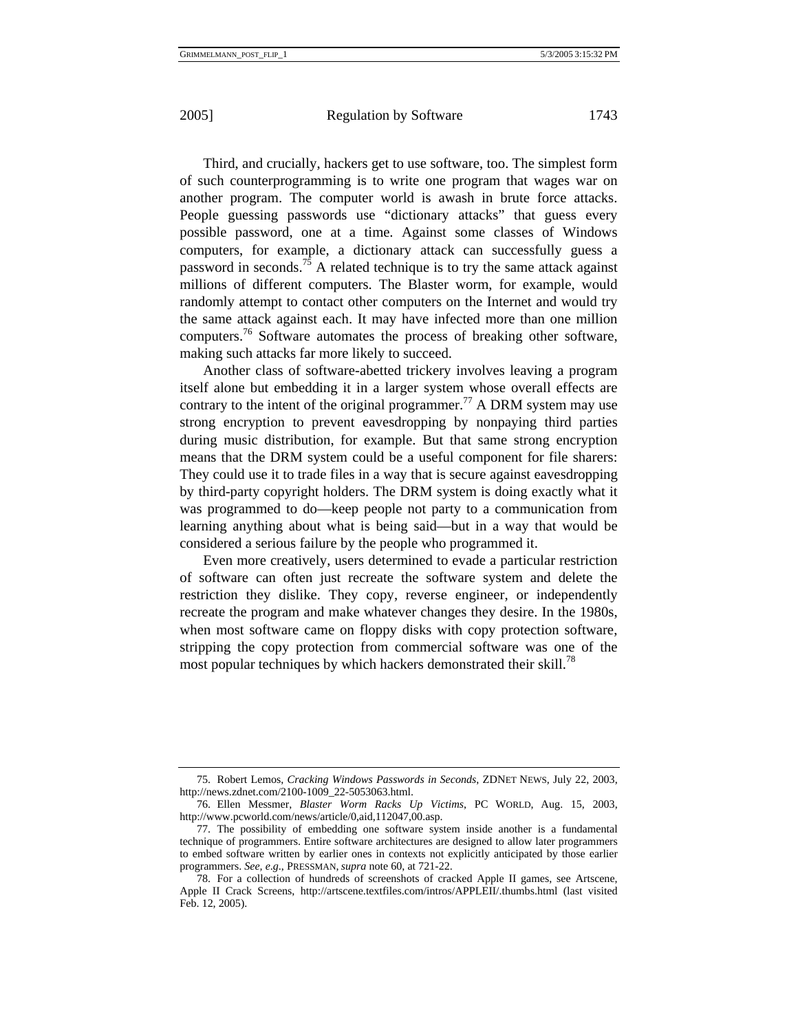Third, and crucially, hackers get to use software, too. The simplest form of such counterprogramming is to write one program that wages war on another program. The computer world is awash in brute force attacks. People guessing passwords use "dictionary attacks" that guess every possible password, one at a time. Against some classes of Windows computers, for example, a dictionary attack can successfully guess a password in seconds.<sup>75</sup> A related technique is to try the same attack against millions of different computers. The Blaster worm, for example, would randomly attempt to contact other computers on the Internet and would try the same attack against each. It may have infected more than one million computers.76 Software automates the process of breaking other software, making such attacks far more likely to succeed.

Another class of software-abetted trickery involves leaving a program itself alone but embedding it in a larger system whose overall effects are contrary to the intent of the original programmer.<sup>77</sup> A DRM system may use strong encryption to prevent eavesdropping by nonpaying third parties during music distribution, for example. But that same strong encryption means that the DRM system could be a useful component for file sharers: They could use it to trade files in a way that is secure against eavesdropping by third-party copyright holders. The DRM system is doing exactly what it was programmed to do—keep people not party to a communication from learning anything about what is being said—but in a way that would be considered a serious failure by the people who programmed it.

Even more creatively, users determined to evade a particular restriction of software can often just recreate the software system and delete the restriction they dislike. They copy, reverse engineer, or independently recreate the program and make whatever changes they desire. In the 1980s, when most software came on floppy disks with copy protection software, stripping the copy protection from commercial software was one of the most popular techniques by which hackers demonstrated their skill.<sup>78</sup>

<sup>75.</sup> Robert Lemos, *Cracking Windows Passwords in Seconds*, ZDNET NEWS, July 22, 2003, http://news.zdnet.com/2100-1009\_22-5053063.html.

<sup>76.</sup> Ellen Messmer, *Blaster Worm Racks Up Victims*, PC WORLD, Aug. 15, 2003, http://www.pcworld.com/news/article/0,aid,112047,00.asp.

<sup>77.</sup> The possibility of embedding one software system inside another is a fundamental technique of programmers. Entire software architectures are designed to allow later programmers to embed software written by earlier ones in contexts not explicitly anticipated by those earlier programmers. *See, e*.*g*., PRESSMAN, *supra* note 60, at 721-22.

<sup>78.</sup> For a collection of hundreds of screenshots of cracked Apple II games, see Artscene, Apple II Crack Screens, http://artscene.textfiles.com/intros/APPLEII/.thumbs.html (last visited Feb. 12, 2005).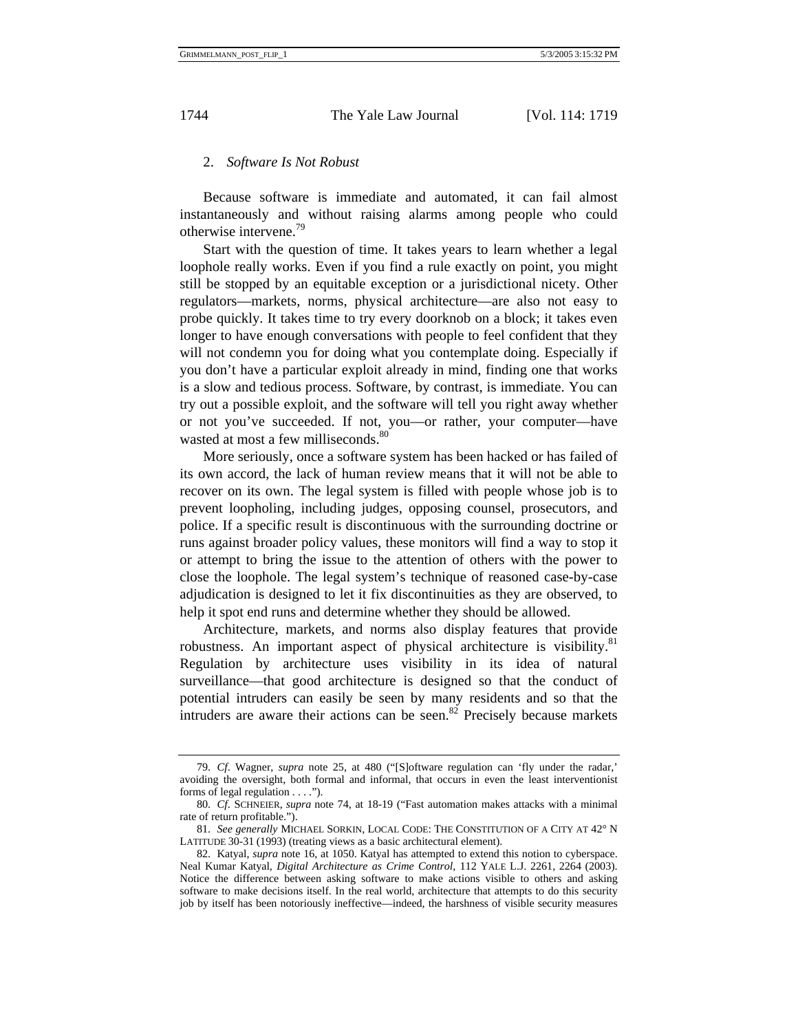#### 2. *Software Is Not Robust*

Because software is immediate and automated, it can fail almost instantaneously and without raising alarms among people who could otherwise intervene.<sup>79</sup>

Start with the question of time. It takes years to learn whether a legal loophole really works. Even if you find a rule exactly on point, you might still be stopped by an equitable exception or a jurisdictional nicety. Other regulators—markets, norms, physical architecture—are also not easy to probe quickly. It takes time to try every doorknob on a block; it takes even longer to have enough conversations with people to feel confident that they will not condemn you for doing what you contemplate doing. Especially if you don't have a particular exploit already in mind, finding one that works is a slow and tedious process. Software, by contrast, is immediate. You can try out a possible exploit, and the software will tell you right away whether or not you've succeeded. If not, you—or rather, your computer—have wasted at most a few milliseconds.<sup>80</sup>

More seriously, once a software system has been hacked or has failed of its own accord, the lack of human review means that it will not be able to recover on its own. The legal system is filled with people whose job is to prevent loopholing, including judges, opposing counsel, prosecutors, and police. If a specific result is discontinuous with the surrounding doctrine or runs against broader policy values, these monitors will find a way to stop it or attempt to bring the issue to the attention of others with the power to close the loophole. The legal system's technique of reasoned case-by-case adjudication is designed to let it fix discontinuities as they are observed, to help it spot end runs and determine whether they should be allowed.

Architecture, markets, and norms also display features that provide robustness. An important aspect of physical architecture is visibility.<sup>81</sup> Regulation by architecture uses visibility in its idea of natural surveillance—that good architecture is designed so that the conduct of potential intruders can easily be seen by many residents and so that the intruders are aware their actions can be seen.<sup>82</sup> Precisely because markets

<sup>79.</sup> *Cf*. Wagner, *supra* note 25, at 480 ("[S]oftware regulation can 'fly under the radar,' avoiding the oversight, both formal and informal, that occurs in even the least interventionist forms of legal regulation . . . .").

<sup>80.</sup> *Cf*. SCHNEIER, *supra* note 74, at 18-19 ("Fast automation makes attacks with a minimal rate of return profitable.").

<sup>81.</sup> *See generally* MICHAEL SORKIN, LOCAL CODE: THE CONSTITUTION OF A CITY AT 42° N LATITUDE 30-31 (1993) (treating views as a basic architectural element).

<sup>82.</sup> Katyal, *supra* note 16, at 1050. Katyal has attempted to extend this notion to cyberspace. Neal Kumar Katyal, *Digital Architecture as Crime Control*, 112 YALE L.J. 2261, 2264 (2003). Notice the difference between asking software to make actions visible to others and asking software to make decisions itself. In the real world, architecture that attempts to do this security job by itself has been notoriously ineffective—indeed, the harshness of visible security measures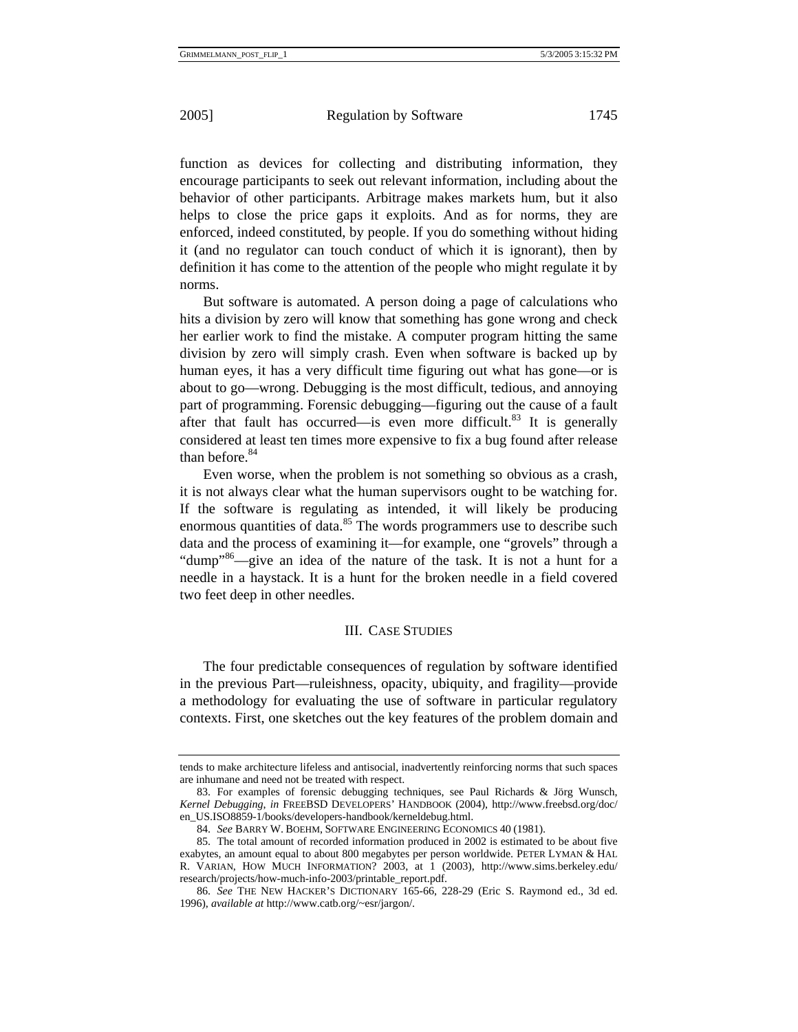function as devices for collecting and distributing information, they encourage participants to seek out relevant information, including about the behavior of other participants. Arbitrage makes markets hum, but it also helps to close the price gaps it exploits. And as for norms, they are enforced, indeed constituted, by people. If you do something without hiding it (and no regulator can touch conduct of which it is ignorant), then by definition it has come to the attention of the people who might regulate it by norms.

But software is automated. A person doing a page of calculations who hits a division by zero will know that something has gone wrong and check her earlier work to find the mistake. A computer program hitting the same division by zero will simply crash. Even when software is backed up by human eyes, it has a very difficult time figuring out what has gone—or is about to go—wrong. Debugging is the most difficult, tedious, and annoying part of programming. Forensic debugging—figuring out the cause of a fault after that fault has occurred—is even more difficult.<sup>83</sup> It is generally considered at least ten times more expensive to fix a bug found after release than before. $84$ 

Even worse, when the problem is not something so obvious as a crash, it is not always clear what the human supervisors ought to be watching for. If the software is regulating as intended, it will likely be producing enormous quantities of data.<sup>85</sup> The words programmers use to describe such data and the process of examining it—for example, one "grovels" through a "dump"<sup>86</sup>—give an idea of the nature of the task. It is not a hunt for a needle in a haystack. It is a hunt for the broken needle in a field covered two feet deep in other needles.

#### III. CASE STUDIES

The four predictable consequences of regulation by software identified in the previous Part—ruleishness, opacity, ubiquity, and fragility—provide a methodology for evaluating the use of software in particular regulatory contexts. First, one sketches out the key features of the problem domain and

tends to make architecture lifeless and antisocial, inadvertently reinforcing norms that such spaces are inhumane and need not be treated with respect.

<sup>83.</sup> For examples of forensic debugging techniques, see Paul Richards & Jörg Wunsch, *Kernel Debugging*, *in* FREEBSD DEVELOPERS' HANDBOOK (2004), http://www.freebsd.org/doc/ en\_US.ISO8859-1/books/developers-handbook/kerneldebug.html.

<sup>84.</sup> *See* BARRY W. BOEHM, SOFTWARE ENGINEERING ECONOMICS 40 (1981).

<sup>85.</sup> The total amount of recorded information produced in 2002 is estimated to be about five exabytes, an amount equal to about 800 megabytes per person worldwide. PETER LYMAN & HAL R. VARIAN, HOW MUCH INFORMATION? 2003, at 1 (2003), http://www.sims.berkeley.edu/ research/projects/how-much-info-2003/printable\_report.pdf.

<sup>86.</sup> *See* THE NEW HACKER'S DICTIONARY 165-66, 228-29 (Eric S. Raymond ed., 3d ed. 1996), *available at* http://www.catb.org/~esr/jargon/.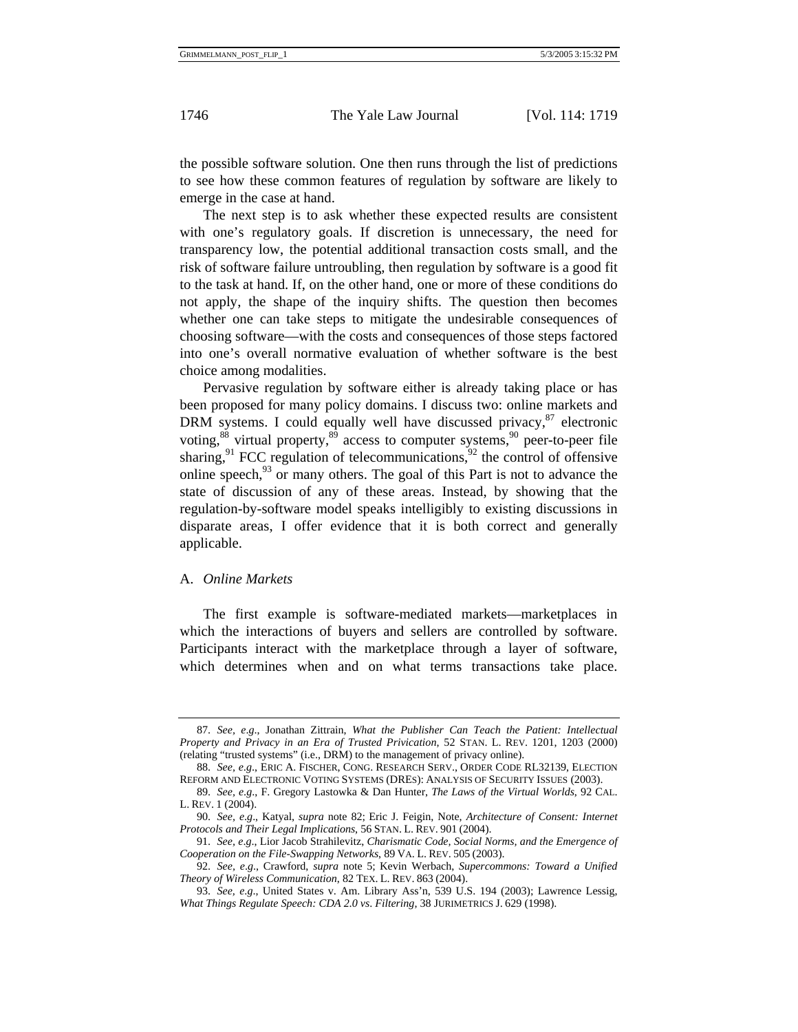the possible software solution. One then runs through the list of predictions to see how these common features of regulation by software are likely to emerge in the case at hand.

The next step is to ask whether these expected results are consistent with one's regulatory goals. If discretion is unnecessary, the need for transparency low, the potential additional transaction costs small, and the risk of software failure untroubling, then regulation by software is a good fit to the task at hand. If, on the other hand, one or more of these conditions do not apply, the shape of the inquiry shifts. The question then becomes whether one can take steps to mitigate the undesirable consequences of choosing software—with the costs and consequences of those steps factored into one's overall normative evaluation of whether software is the best choice among modalities.

Pervasive regulation by software either is already taking place or has been proposed for many policy domains. I discuss two: online markets and DRM systems. I could equally well have discussed privacy, $87$  electronic voting, $88$  virtual property, $89$  access to computer systems,  $90$  peer-to-peer file sharing,  $91$  FCC regulation of telecommunications,  $92$  the control of offensive online speech, $93$  or many others. The goal of this Part is not to advance the state of discussion of any of these areas. Instead, by showing that the regulation-by-software model speaks intelligibly to existing discussions in disparate areas, I offer evidence that it is both correct and generally applicable.

# A. *Online Markets*

The first example is software-mediated markets—marketplaces in which the interactions of buyers and sellers are controlled by software. Participants interact with the marketplace through a layer of software, which determines when and on what terms transactions take place.

<sup>87.</sup> *See, e*.*g*., Jonathan Zittrain, *What the Publisher Can Teach the Patient: Intellectual Property and Privacy in an Era of Trusted Privication*, 52 STAN. L. REV. 1201, 1203 (2000) (relating "trusted systems" (i.e., DRM) to the management of privacy online).

<sup>88.</sup> *See, e*.*g*., ERIC A. FISCHER, CONG. RESEARCH SERV., ORDER CODE RL32139, ELECTION REFORM AND ELECTRONIC VOTING SYSTEMS (DRES): ANALYSIS OF SECURITY ISSUES (2003).

<sup>89.</sup> *See, e*.*g*., F. Gregory Lastowka & Dan Hunter, *The Laws of the Virtual Worlds*, 92 CAL. L. REV. 1 (2004).

<sup>90.</sup> *See, e*.*g*., Katyal, *supra* note 82; Eric J. Feigin, Note, *Architecture of Consent: Internet Protocols and Their Legal Implications*, 56 STAN. L. REV. 901 (2004).

<sup>91.</sup> *See, e*.*g*., Lior Jacob Strahilevitz, *Charismatic Code, Social Norms, and the Emergence of Cooperation on the File-Swapping Networks*, 89 VA. L. REV. 505 (2003).

<sup>92.</sup> *See, e*.*g*., Crawford, *supra* note 5; Kevin Werbach, *Supercommons: Toward a Unified Theory of Wireless Communication*, 82 TEX. L. REV. 863 (2004).

<sup>93.</sup> *See, e*.*g*., United States v. Am. Library Ass'n, 539 U.S. 194 (2003); Lawrence Lessig, *What Things Regulate Speech: CDA 2*.*0 vs*. *Filtering*, 38 JURIMETRICS J. 629 (1998).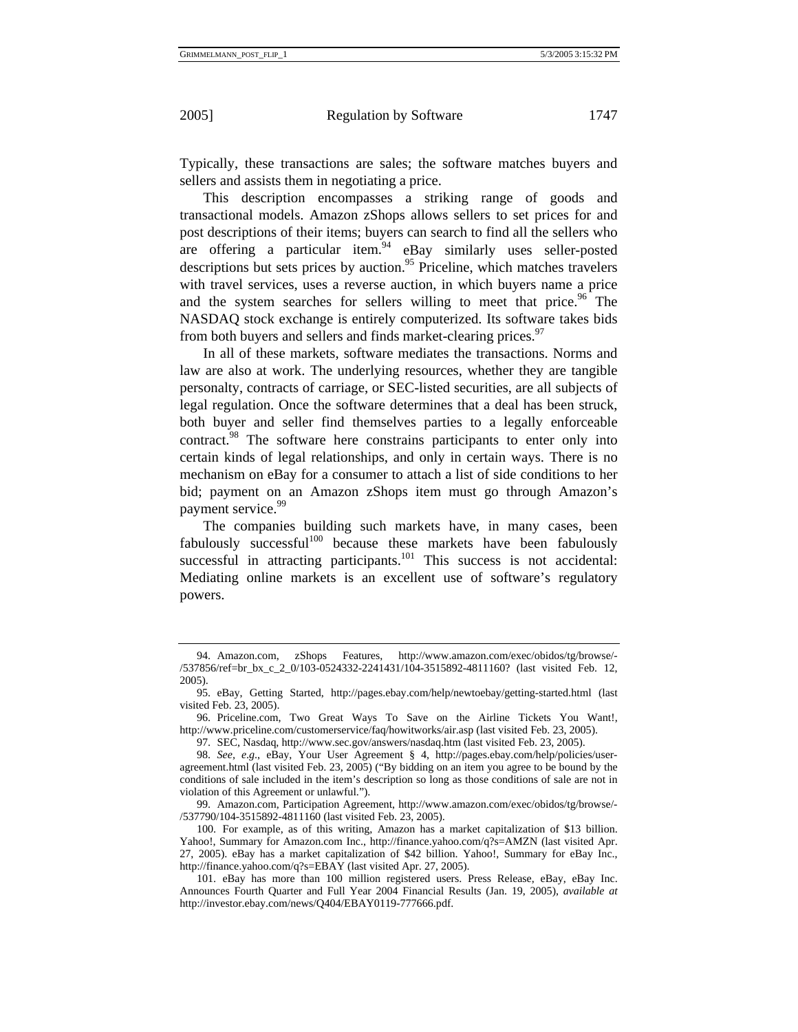Typically, these transactions are sales; the software matches buyers and sellers and assists them in negotiating a price.

This description encompasses a striking range of goods and transactional models. Amazon zShops allows sellers to set prices for and post descriptions of their items; buyers can search to find all the sellers who are offering a particular item. $94$  eBay similarly uses seller-posted descriptions but sets prices by auction.<sup>95</sup> Priceline, which matches travelers with travel services, uses a reverse auction, in which buyers name a price and the system searches for sellers willing to meet that price.<sup>96</sup> The NASDAQ stock exchange is entirely computerized. Its software takes bids from both buyers and sellers and finds market-clearing prices.<sup>97</sup>

In all of these markets, software mediates the transactions. Norms and law are also at work. The underlying resources, whether they are tangible personalty, contracts of carriage, or SEC-listed securities, are all subjects of legal regulation. Once the software determines that a deal has been struck, both buyer and seller find themselves parties to a legally enforceable contract.98 The software here constrains participants to enter only into certain kinds of legal relationships, and only in certain ways. There is no mechanism on eBay for a consumer to attach a list of side conditions to her bid; payment on an Amazon zShops item must go through Amazon's payment service.<sup>99</sup>

The companies building such markets have, in many cases, been fabulously successful<sup>100</sup> because these markets have been fabulously successful in attracting participants.<sup>101</sup> This success is not accidental: Mediating online markets is an excellent use of software's regulatory powers.

<sup>94.</sup> Amazon.com, zShops Features, http://www.amazon.com/exec/obidos/tg/browse/- /537856/ref=br\_bx\_c\_2\_0/103-0524332-2241431/104-3515892-4811160? (last visited Feb. 12, 2005).

<sup>95.</sup> eBay, Getting Started, http://pages.ebay.com/help/newtoebay/getting-started.html (last visited Feb. 23, 2005).

<sup>96.</sup> Priceline.com, Two Great Ways To Save on the Airline Tickets You Want!, http://www.priceline.com/customerservice/faq/howitworks/air.asp (last visited Feb. 23, 2005).

<sup>97.</sup> SEC, Nasdaq, http://www.sec.gov/answers/nasdaq.htm (last visited Feb. 23, 2005).

<sup>98.</sup> *See, e*.*g*., eBay, Your User Agreement § 4, http://pages.ebay.com/help/policies/useragreement.html (last visited Feb. 23, 2005) ("By bidding on an item you agree to be bound by the conditions of sale included in the item's description so long as those conditions of sale are not in violation of this Agreement or unlawful.").

<sup>99.</sup> Amazon.com, Participation Agreement, http://www.amazon.com/exec/obidos/tg/browse/- /537790/104-3515892-4811160 (last visited Feb. 23, 2005).

<sup>100.</sup> For example, as of this writing, Amazon has a market capitalization of \$13 billion. Yahoo!, Summary for Amazon.com Inc., http://finance.yahoo.com/q?s=AMZN (last visited Apr. 27, 2005). eBay has a market capitalization of \$42 billion. Yahoo!, Summary for eBay Inc., http://finance.yahoo.com/q?s=EBAY (last visited Apr. 27, 2005).

<sup>101.</sup> eBay has more than 100 million registered users. Press Release, eBay, eBay Inc. Announces Fourth Quarter and Full Year 2004 Financial Results (Jan. 19, 2005), *available at* http://investor.ebay.com/news/Q404/EBAY0119-777666.pdf.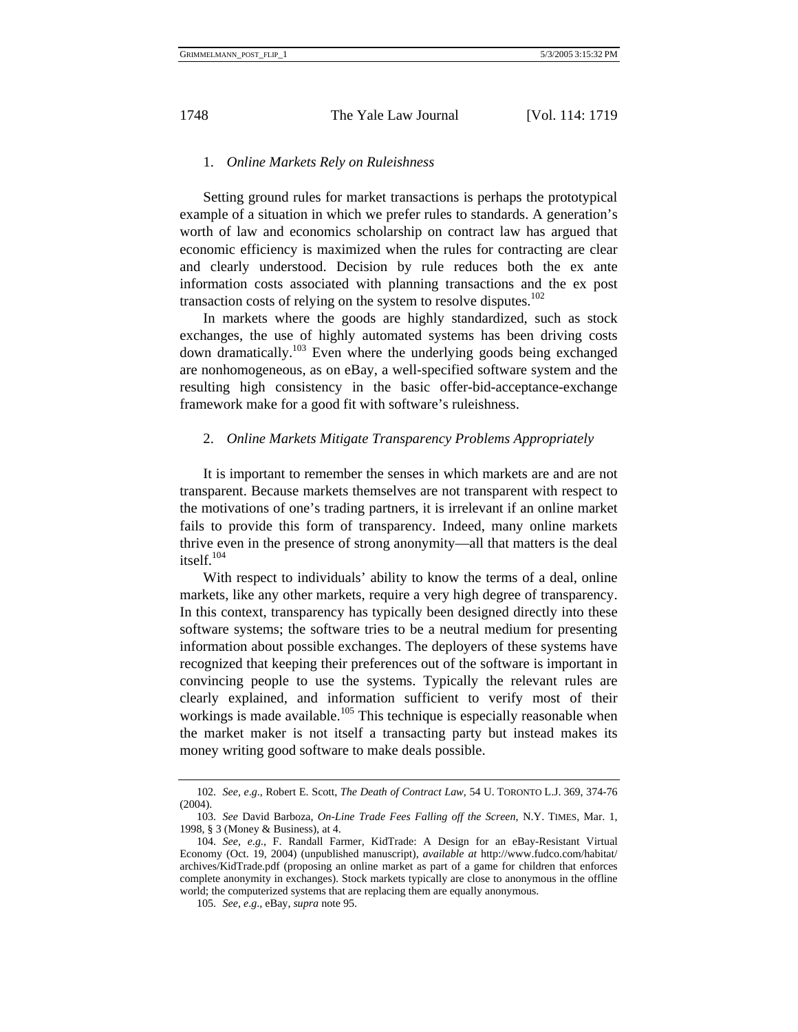# 1. *Online Markets Rely on Ruleishness*

Setting ground rules for market transactions is perhaps the prototypical example of a situation in which we prefer rules to standards. A generation's worth of law and economics scholarship on contract law has argued that economic efficiency is maximized when the rules for contracting are clear and clearly understood. Decision by rule reduces both the ex ante information costs associated with planning transactions and the ex post transaction costs of relying on the system to resolve disputes. $102$ 

In markets where the goods are highly standardized, such as stock exchanges, the use of highly automated systems has been driving costs down dramatically.<sup>103</sup> Even where the underlying goods being exchanged are nonhomogeneous, as on eBay, a well-specified software system and the resulting high consistency in the basic offer-bid-acceptance-exchange framework make for a good fit with software's ruleishness.

#### 2. *Online Markets Mitigate Transparency Problems Appropriately*

It is important to remember the senses in which markets are and are not transparent. Because markets themselves are not transparent with respect to the motivations of one's trading partners, it is irrelevant if an online market fails to provide this form of transparency. Indeed, many online markets thrive even in the presence of strong anonymity—all that matters is the deal itself.<sup>104</sup>

With respect to individuals' ability to know the terms of a deal, online markets, like any other markets, require a very high degree of transparency. In this context, transparency has typically been designed directly into these software systems; the software tries to be a neutral medium for presenting information about possible exchanges. The deployers of these systems have recognized that keeping their preferences out of the software is important in convincing people to use the systems. Typically the relevant rules are clearly explained, and information sufficient to verify most of their workings is made available.<sup>105</sup> This technique is especially reasonable when the market maker is not itself a transacting party but instead makes its money writing good software to make deals possible.

<sup>102.</sup> *See, e*.*g*., Robert E. Scott, *The Death of Contract Law*, 54 U. TORONTO L.J. 369, 374-76 (2004).

<sup>103.</sup> *See* David Barboza, *On-Line Trade Fees Falling off the Screen*, N.Y. TIMES, Mar. 1, 1998, § 3 (Money & Business), at 4.

<sup>104.</sup> *See, e*.*g*., F. Randall Farmer, KidTrade: A Design for an eBay-Resistant Virtual Economy (Oct. 19, 2004) (unpublished manuscript), *available at* http://www.fudco.com/habitat/ archives/KidTrade.pdf (proposing an online market as part of a game for children that enforces complete anonymity in exchanges). Stock markets typically are close to anonymous in the offline world; the computerized systems that are replacing them are equally anonymous.

<sup>105.</sup> *See, e*.*g*., eBay, *supra* note 95.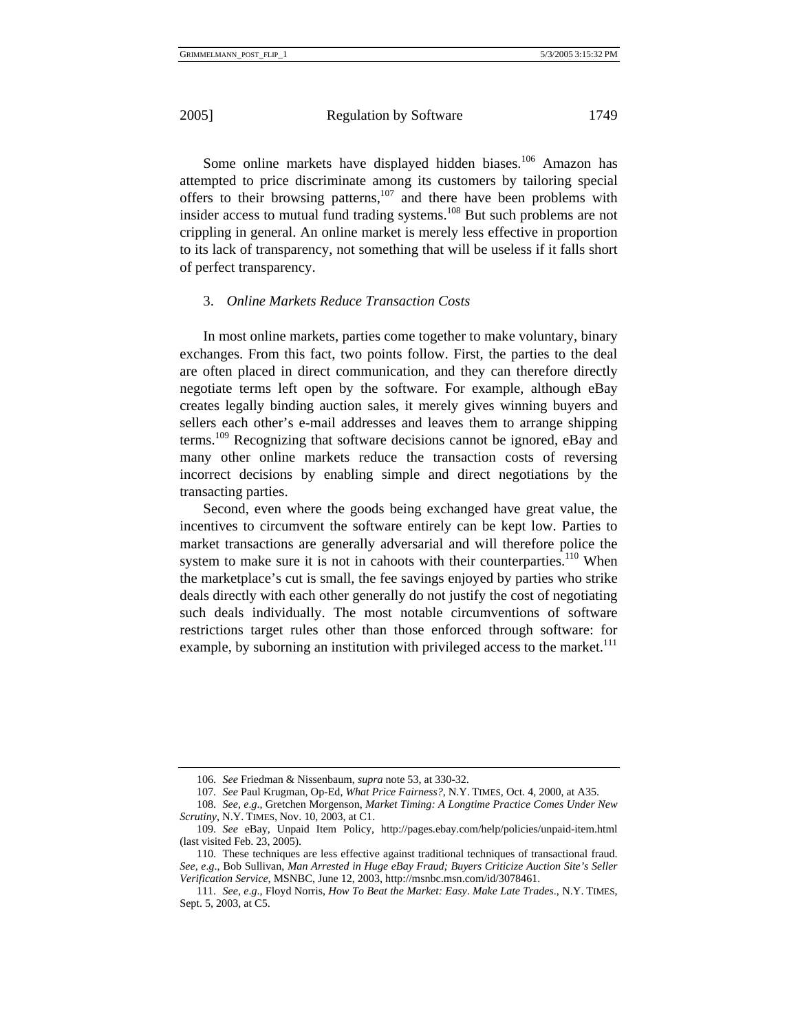Some online markets have displayed hidden biases.<sup>106</sup> Amazon has attempted to price discriminate among its customers by tailoring special offers to their browsing patterns, $107$  and there have been problems with insider access to mutual fund trading systems.<sup>108</sup> But such problems are not crippling in general. An online market is merely less effective in proportion to its lack of transparency, not something that will be useless if it falls short of perfect transparency.

#### 3. *Online Markets Reduce Transaction Costs*

In most online markets, parties come together to make voluntary, binary exchanges. From this fact, two points follow. First, the parties to the deal are often placed in direct communication, and they can therefore directly negotiate terms left open by the software. For example, although eBay creates legally binding auction sales, it merely gives winning buyers and sellers each other's e-mail addresses and leaves them to arrange shipping terms.<sup>109</sup> Recognizing that software decisions cannot be ignored, eBay and many other online markets reduce the transaction costs of reversing incorrect decisions by enabling simple and direct negotiations by the transacting parties.

Second, even where the goods being exchanged have great value, the incentives to circumvent the software entirely can be kept low. Parties to market transactions are generally adversarial and will therefore police the system to make sure it is not in cahoots with their counterparties.<sup>110</sup> When the marketplace's cut is small, the fee savings enjoyed by parties who strike deals directly with each other generally do not justify the cost of negotiating such deals individually. The most notable circumventions of software restrictions target rules other than those enforced through software: for example, by suborning an institution with privileged access to the market.<sup>111</sup>

<sup>106.</sup> *See* Friedman & Nissenbaum, *supra* note 53, at 330-32.

<sup>107.</sup> *See* Paul Krugman, Op-Ed, *What Price Fairness?*, N.Y. TIMES, Oct. 4, 2000, at A35.

<sup>108.</sup> *See, e*.*g*., Gretchen Morgenson, *Market Timing: A Longtime Practice Comes Under New Scrutiny*, N.Y. TIMES, Nov. 10, 2003, at C1.

<sup>109.</sup> *See* eBay, Unpaid Item Policy, http://pages.ebay.com/help/policies/unpaid-item.html (last visited Feb. 23, 2005).

<sup>110.</sup> These techniques are less effective against traditional techniques of transactional fraud. *See, e*.*g*., Bob Sullivan, *Man Arrested in Huge eBay Fraud; Buyers Criticize Auction Site's Seller Verification Service*, MSNBC, June 12, 2003, http://msnbc.msn.com/id/3078461.

<sup>111.</sup> *See, e*.*g*., Floyd Norris, *How To Beat the Market: Easy*. *Make Late Trades*., N.Y. TIMES, Sept. 5, 2003, at C5.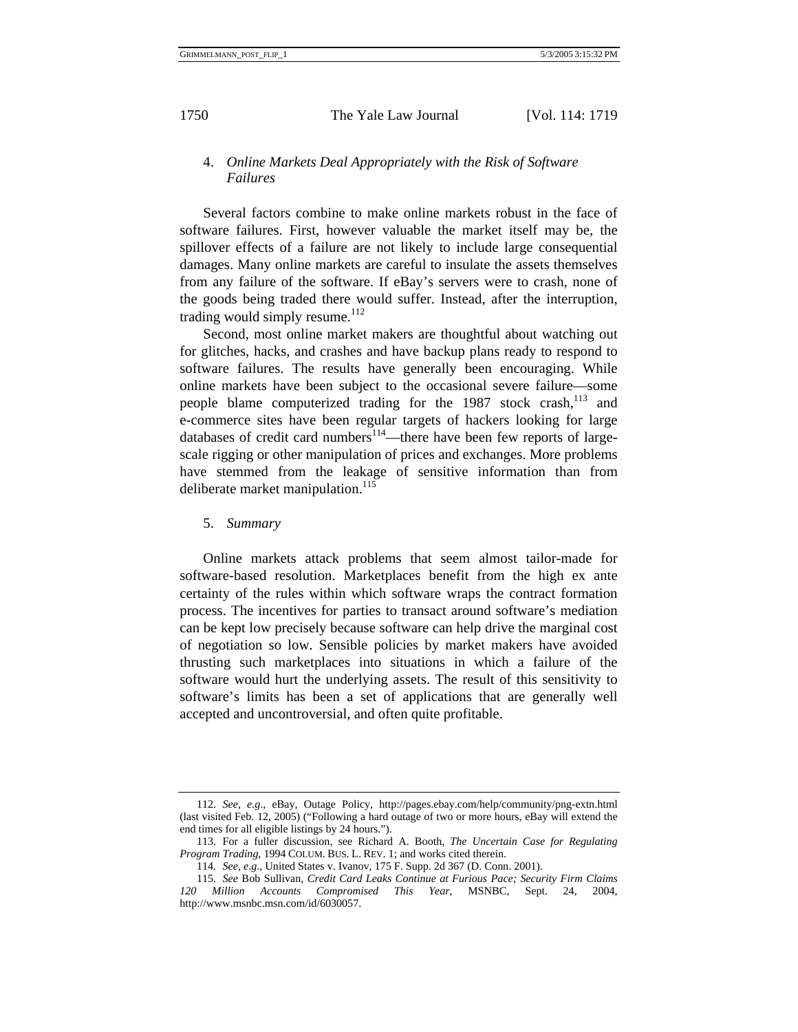# 4. *Online Markets Deal Appropriately with the Risk of Software Failures*

Several factors combine to make online markets robust in the face of software failures. First, however valuable the market itself may be, the spillover effects of a failure are not likely to include large consequential damages. Many online markets are careful to insulate the assets themselves from any failure of the software. If eBay's servers were to crash, none of the goods being traded there would suffer. Instead, after the interruption, trading would simply resume. $^{112}$ 

Second, most online market makers are thoughtful about watching out for glitches, hacks, and crashes and have backup plans ready to respond to software failures. The results have generally been encouraging. While online markets have been subject to the occasional severe failure—some people blame computerized trading for the 1987 stock crash,<sup>113</sup> and e-commerce sites have been regular targets of hackers looking for large databases of credit card numbers<sup>114</sup>—there have been few reports of largescale rigging or other manipulation of prices and exchanges. More problems have stemmed from the leakage of sensitive information than from deliberate market manipulation.<sup>115</sup>

5. *Summary* 

Online markets attack problems that seem almost tailor-made for software-based resolution. Marketplaces benefit from the high ex ante certainty of the rules within which software wraps the contract formation process. The incentives for parties to transact around software's mediation can be kept low precisely because software can help drive the marginal cost of negotiation so low. Sensible policies by market makers have avoided thrusting such marketplaces into situations in which a failure of the software would hurt the underlying assets. The result of this sensitivity to software's limits has been a set of applications that are generally well accepted and uncontroversial, and often quite profitable.

<sup>112.</sup> *See, e*.*g*., eBay, Outage Policy, http://pages.ebay.com/help/community/png-extn.html (last visited Feb. 12, 2005) ("Following a hard outage of two or more hours, eBay will extend the end times for all eligible listings by 24 hours.").

<sup>113.</sup> For a fuller discussion, see Richard A. Booth, *The Uncertain Case for Regulating Program Trading*, 1994 COLUM. BUS. L. REV. 1; and works cited therein.

<sup>114.</sup> *See, e*.*g*., United States v. Ivanov, 175 F. Supp. 2d 367 (D. Conn. 2001).

<sup>115.</sup> *See* Bob Sullivan, *Credit Card Leaks Continue at Furious Pace; Security Firm Claims 120 Million Accounts Compromised This Year*, MSNBC, Sept. 24, 2004, http://www.msnbc.msn.com/id/6030057.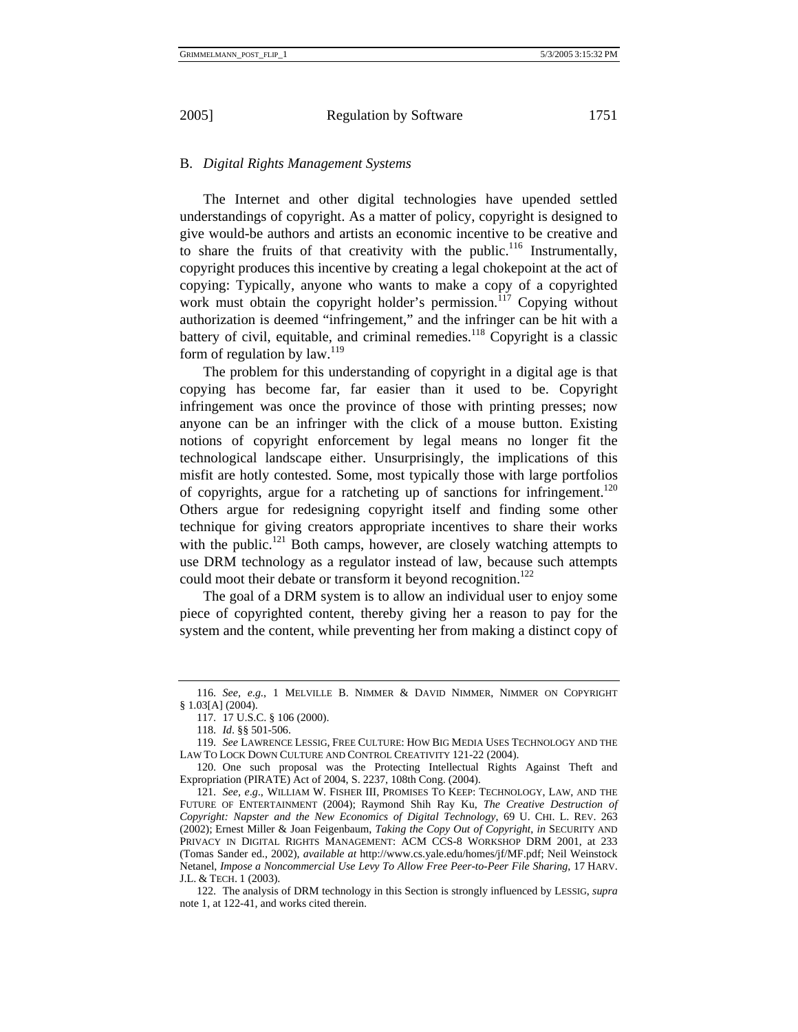# B. *Digital Rights Management Systems*

The Internet and other digital technologies have upended settled understandings of copyright. As a matter of policy, copyright is designed to give would-be authors and artists an economic incentive to be creative and to share the fruits of that creativity with the public.<sup>116</sup> Instrumentally, copyright produces this incentive by creating a legal chokepoint at the act of copying: Typically, anyone who wants to make a copy of a copyrighted work must obtain the copyright holder's permission.<sup> $117$ </sup> Copying without authorization is deemed "infringement," and the infringer can be hit with a battery of civil, equitable, and criminal remedies. $^{118}$  Copyright is a classic form of regulation by  $law.<sup>119</sup>$ 

The problem for this understanding of copyright in a digital age is that copying has become far, far easier than it used to be. Copyright infringement was once the province of those with printing presses; now anyone can be an infringer with the click of a mouse button. Existing notions of copyright enforcement by legal means no longer fit the technological landscape either. Unsurprisingly, the implications of this misfit are hotly contested. Some, most typically those with large portfolios of copyrights, argue for a ratcheting up of sanctions for infringement.<sup>120</sup> Others argue for redesigning copyright itself and finding some other technique for giving creators appropriate incentives to share their works with the public.<sup>121</sup> Both camps, however, are closely watching attempts to use DRM technology as a regulator instead of law, because such attempts could moot their debate or transform it beyond recognition.<sup>122</sup>

The goal of a DRM system is to allow an individual user to enjoy some piece of copyrighted content, thereby giving her a reason to pay for the system and the content, while preventing her from making a distinct copy of

<sup>116.</sup> *See, e*.*g*., 1 MELVILLE B. NIMMER & DAVID NIMMER, NIMMER ON COPYRIGHT § 1.03[A] (2004).

<sup>117. 17</sup> U.S.C. § 106 (2000).

<sup>118.</sup> *Id*. §§ 501-506.

<sup>119.</sup> *See* LAWRENCE LESSIG, FREE CULTURE: HOW BIG MEDIA USES TECHNOLOGY AND THE LAW TO LOCK DOWN CULTURE AND CONTROL CREATIVITY 121-22 (2004).

<sup>120.</sup> One such proposal was the Protecting Intellectual Rights Against Theft and Expropriation (PIRATE) Act of 2004, S. 2237, 108th Cong. (2004).

<sup>121.</sup> *See, e*.*g*., WILLIAM W. FISHER III, PROMISES TO KEEP: TECHNOLOGY, LAW, AND THE FUTURE OF ENTERTAINMENT (2004); Raymond Shih Ray Ku, *The Creative Destruction of Copyright: Napster and the New Economics of Digital Technology*, 69 U. CHI. L. REV. 263 (2002); Ernest Miller & Joan Feigenbaum, *Taking the Copy Out of Copyright*, *in* SECURITY AND PRIVACY IN DIGITAL RIGHTS MANAGEMENT: ACM CCS-8 WORKSHOP DRM 2001, at 233 (Tomas Sander ed., 2002), *available at* http://www.cs.yale.edu/homes/jf/MF.pdf; Neil Weinstock Netanel, *Impose a Noncommercial Use Levy To Allow Free Peer-to-Peer File Sharing*, 17 HARV. J.L. & TECH. 1 (2003).

<sup>122.</sup> The analysis of DRM technology in this Section is strongly influenced by LESSIG, *supra* note 1, at 122-41, and works cited therein.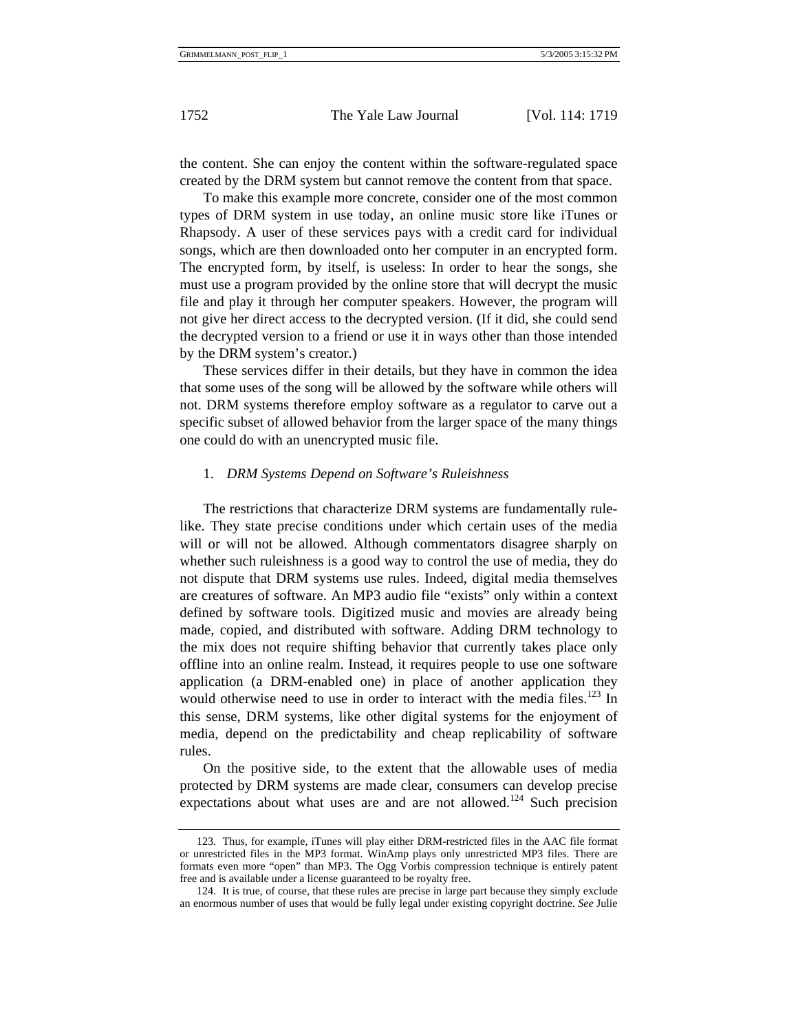the content. She can enjoy the content within the software-regulated space created by the DRM system but cannot remove the content from that space.

To make this example more concrete, consider one of the most common types of DRM system in use today, an online music store like iTunes or Rhapsody. A user of these services pays with a credit card for individual songs, which are then downloaded onto her computer in an encrypted form. The encrypted form, by itself, is useless: In order to hear the songs, she must use a program provided by the online store that will decrypt the music file and play it through her computer speakers. However, the program will not give her direct access to the decrypted version. (If it did, she could send the decrypted version to a friend or use it in ways other than those intended by the DRM system's creator.)

These services differ in their details, but they have in common the idea that some uses of the song will be allowed by the software while others will not. DRM systems therefore employ software as a regulator to carve out a specific subset of allowed behavior from the larger space of the many things one could do with an unencrypted music file.

#### 1. *DRM Systems Depend on Software's Ruleishness*

The restrictions that characterize DRM systems are fundamentally rulelike. They state precise conditions under which certain uses of the media will or will not be allowed. Although commentators disagree sharply on whether such ruleishness is a good way to control the use of media, they do not dispute that DRM systems use rules. Indeed, digital media themselves are creatures of software. An MP3 audio file "exists" only within a context defined by software tools. Digitized music and movies are already being made, copied, and distributed with software. Adding DRM technology to the mix does not require shifting behavior that currently takes place only offline into an online realm. Instead, it requires people to use one software application (a DRM-enabled one) in place of another application they would otherwise need to use in order to interact with the media files.<sup>123</sup> In this sense, DRM systems, like other digital systems for the enjoyment of media, depend on the predictability and cheap replicability of software rules.

On the positive side, to the extent that the allowable uses of media protected by DRM systems are made clear, consumers can develop precise expectations about what uses are and are not allowed.<sup>124</sup> Such precision

<sup>123.</sup> Thus, for example, iTunes will play either DRM-restricted files in the AAC file format or unrestricted files in the MP3 format. WinAmp plays only unrestricted MP3 files. There are formats even more "open" than MP3. The Ogg Vorbis compression technique is entirely patent free and is available under a license guaranteed to be royalty free.

<sup>124.</sup> It is true, of course, that these rules are precise in large part because they simply exclude an enormous number of uses that would be fully legal under existing copyright doctrine. *See* Julie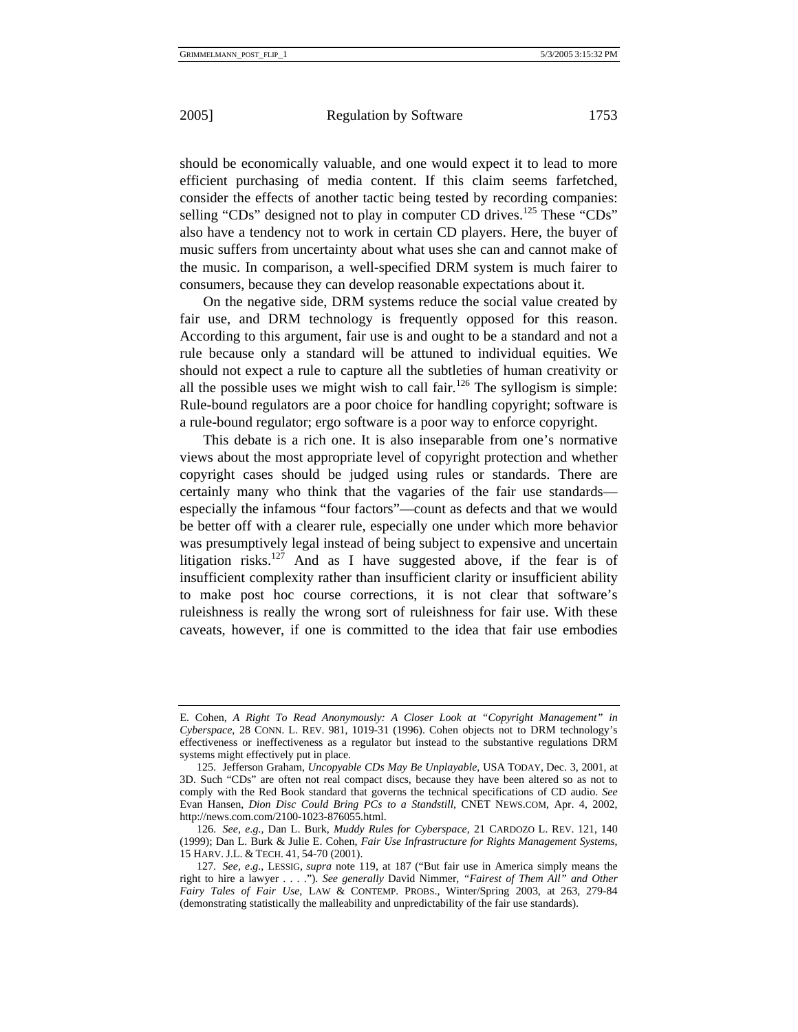should be economically valuable, and one would expect it to lead to more efficient purchasing of media content. If this claim seems farfetched, consider the effects of another tactic being tested by recording companies: selling "CDs" designed not to play in computer CD drives.<sup>125</sup> These "CDs" also have a tendency not to work in certain CD players. Here, the buyer of music suffers from uncertainty about what uses she can and cannot make of the music. In comparison, a well-specified DRM system is much fairer to consumers, because they can develop reasonable expectations about it.

On the negative side, DRM systems reduce the social value created by fair use, and DRM technology is frequently opposed for this reason. According to this argument, fair use is and ought to be a standard and not a rule because only a standard will be attuned to individual equities. We should not expect a rule to capture all the subtleties of human creativity or all the possible uses we might wish to call fair.<sup>126</sup> The syllogism is simple: Rule-bound regulators are a poor choice for handling copyright; software is a rule-bound regulator; ergo software is a poor way to enforce copyright.

This debate is a rich one. It is also inseparable from one's normative views about the most appropriate level of copyright protection and whether copyright cases should be judged using rules or standards. There are certainly many who think that the vagaries of the fair use standards especially the infamous "four factors"—count as defects and that we would be better off with a clearer rule, especially one under which more behavior was presumptively legal instead of being subject to expensive and uncertain litigation risks.<sup>127</sup> And as I have suggested above, if the fear is of insufficient complexity rather than insufficient clarity or insufficient ability to make post hoc course corrections, it is not clear that software's ruleishness is really the wrong sort of ruleishness for fair use. With these caveats, however, if one is committed to the idea that fair use embodies

E. Cohen, *A Right To Read Anonymously: A Closer Look at "Copyright Management" in Cyberspace*, 28 CONN. L. REV. 981, 1019-31 (1996). Cohen objects not to DRM technology's effectiveness or ineffectiveness as a regulator but instead to the substantive regulations DRM systems might effectively put in place.

<sup>125.</sup> Jefferson Graham, *Uncopyable CDs May Be Unplayable*, USA TODAY, Dec. 3, 2001, at 3D. Such "CDs" are often not real compact discs, because they have been altered so as not to comply with the Red Book standard that governs the technical specifications of CD audio. *See* Evan Hansen, *Dion Disc Could Bring PCs to a Standstill*, CNET NEWS.COM, Apr. 4, 2002, http://news.com.com/2100-1023-876055.html.

<sup>126.</sup> *See, e*.*g*., Dan L. Burk, *Muddy Rules for Cyberspace*, 21 CARDOZO L. REV. 121, 140 (1999); Dan L. Burk & Julie E. Cohen, *Fair Use Infrastructure for Rights Management Systems*, 15 HARV. J.L. & TECH. 41, 54-70 (2001).

<sup>127.</sup> *See, e*.*g*., LESSIG, *supra* note 119, at 187 ("But fair use in America simply means the right to hire a lawyer . . . ."). *See generally* David Nimmer, *"Fairest of Them All" and Other Fairy Tales of Fair Use*, LAW & CONTEMP. PROBS., Winter/Spring 2003, at 263, 279-84 (demonstrating statistically the malleability and unpredictability of the fair use standards).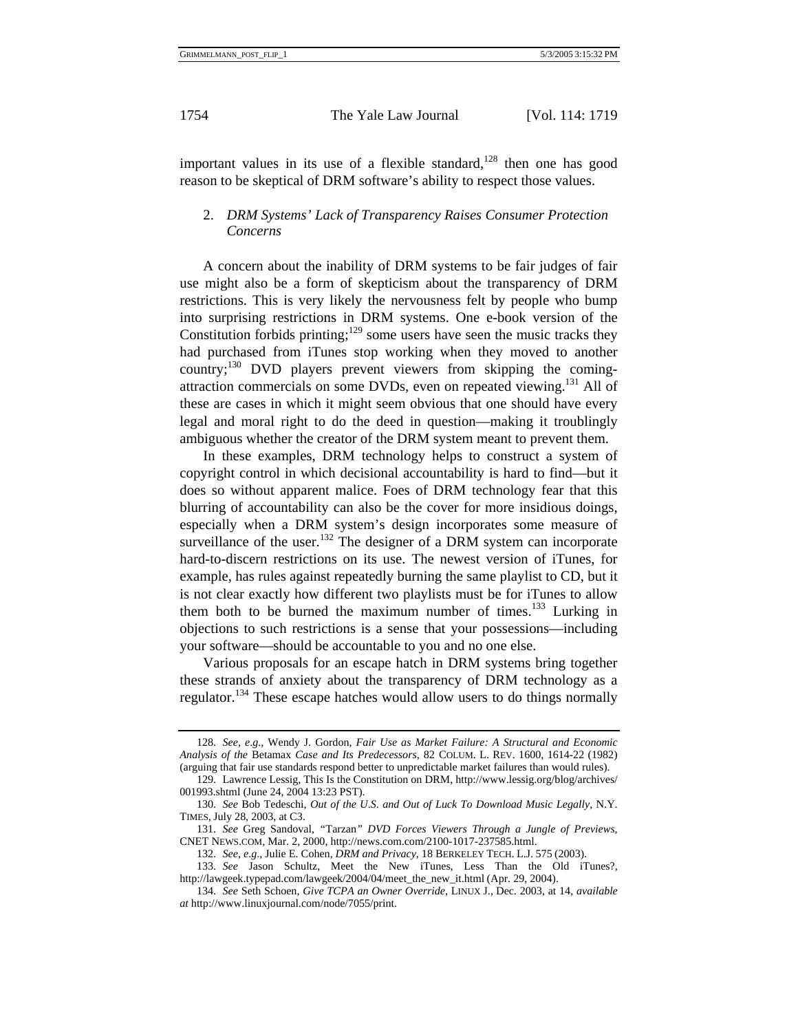important values in its use of a flexible standard, $128$  then one has good reason to be skeptical of DRM software's ability to respect those values.

# 2. *DRM Systems' Lack of Transparency Raises Consumer Protection Concerns*

A concern about the inability of DRM systems to be fair judges of fair use might also be a form of skepticism about the transparency of DRM restrictions. This is very likely the nervousness felt by people who bump into surprising restrictions in DRM systems. One e-book version of the Constitution forbids printing; $129$  some users have seen the music tracks they had purchased from iTunes stop working when they moved to another country;<sup>130</sup> DVD players prevent viewers from skipping the comingattraction commercials on some DVDs, even on repeated viewing.<sup>131</sup> All of these are cases in which it might seem obvious that one should have every legal and moral right to do the deed in question—making it troublingly ambiguous whether the creator of the DRM system meant to prevent them.

In these examples, DRM technology helps to construct a system of copyright control in which decisional accountability is hard to find—but it does so without apparent malice. Foes of DRM technology fear that this blurring of accountability can also be the cover for more insidious doings, especially when a DRM system's design incorporates some measure of surveillance of the user.<sup>132</sup> The designer of a DRM system can incorporate hard-to-discern restrictions on its use. The newest version of iTunes, for example, has rules against repeatedly burning the same playlist to CD, but it is not clear exactly how different two playlists must be for iTunes to allow them both to be burned the maximum number of times. $133$  Lurking in objections to such restrictions is a sense that your possessions—including your software—should be accountable to you and no one else.

Various proposals for an escape hatch in DRM systems bring together these strands of anxiety about the transparency of DRM technology as a regulator.134 These escape hatches would allow users to do things normally

<sup>128.</sup> *See, e*.*g*., Wendy J. Gordon, *Fair Use as Market Failure: A Structural and Economic Analysis of the* Betamax *Case and Its Predecessors*, 82 COLUM. L. REV. 1600, 1614-22 (1982) (arguing that fair use standards respond better to unpredictable market failures than would rules).

<sup>129.</sup> Lawrence Lessig, This Is the Constitution on DRM, http://www.lessig.org/blog/archives/ 001993.shtml (June 24, 2004 13:23 PST).

<sup>130.</sup> *See* Bob Tedeschi, *Out of the U*.*S*. *and Out of Luck To Download Music Legally*, N.Y. TIMES, July 28, 2003, at C3.

<sup>131.</sup> *See* Greg Sandoval, *"*Tarzan*" DVD Forces Viewers Through a Jungle of Previews*, CNET NEWS.COM, Mar. 2, 2000, http://news.com.com/2100-1017-237585.html.

<sup>132.</sup> *See, e*.*g*., Julie E. Cohen, *DRM and Privacy*, 18 BERKELEY TECH. L.J. 575 (2003).

<sup>133.</sup> *See* Jason Schultz, Meet the New iTunes, Less Than the Old iTunes?, http://lawgeek.typepad.com/lawgeek/2004/04/meet\_the\_new\_it.html (Apr. 29, 2004).

<sup>134.</sup> *See* Seth Schoen, *Give TCPA an Owner Override*, LINUX J., Dec. 2003, at 14, *available at* http://www.linuxjournal.com/node/7055/print.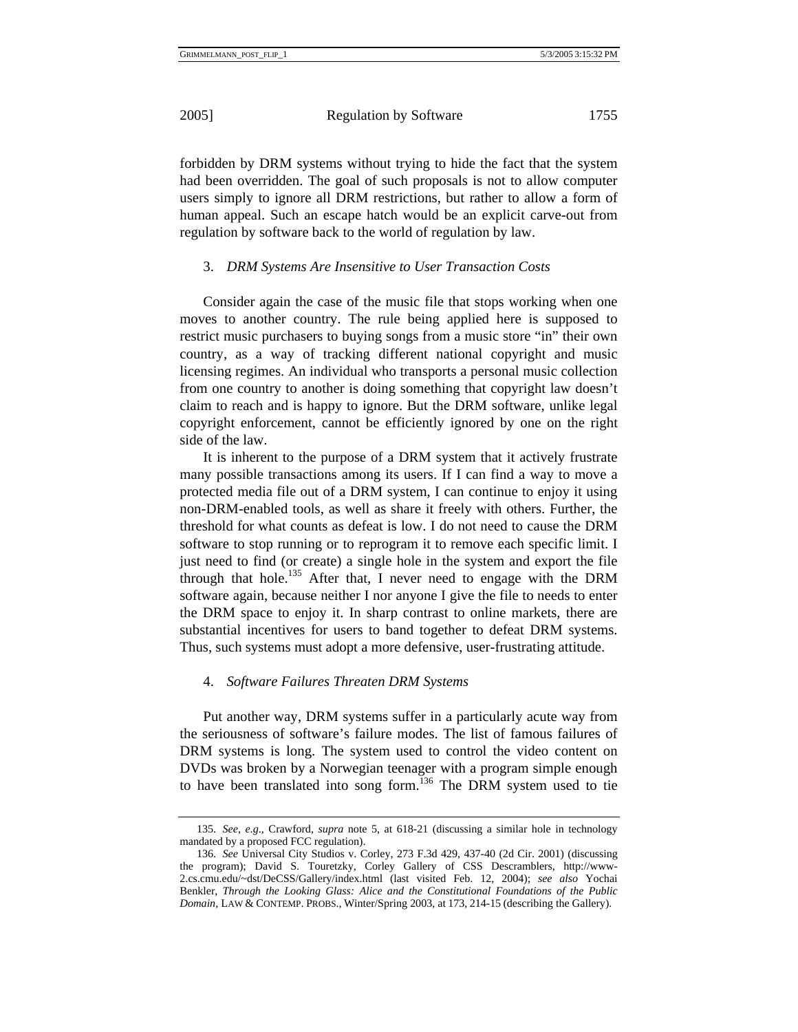forbidden by DRM systems without trying to hide the fact that the system had been overridden. The goal of such proposals is not to allow computer users simply to ignore all DRM restrictions, but rather to allow a form of human appeal. Such an escape hatch would be an explicit carve-out from regulation by software back to the world of regulation by law.

#### 3. *DRM Systems Are Insensitive to User Transaction Costs*

Consider again the case of the music file that stops working when one moves to another country. The rule being applied here is supposed to restrict music purchasers to buying songs from a music store "in" their own country, as a way of tracking different national copyright and music licensing regimes. An individual who transports a personal music collection from one country to another is doing something that copyright law doesn't claim to reach and is happy to ignore. But the DRM software, unlike legal copyright enforcement, cannot be efficiently ignored by one on the right side of the law.

It is inherent to the purpose of a DRM system that it actively frustrate many possible transactions among its users. If I can find a way to move a protected media file out of a DRM system, I can continue to enjoy it using non-DRM-enabled tools, as well as share it freely with others. Further, the threshold for what counts as defeat is low. I do not need to cause the DRM software to stop running or to reprogram it to remove each specific limit. I just need to find (or create) a single hole in the system and export the file through that hole.<sup>135</sup> After that, I never need to engage with the DRM software again, because neither I nor anyone I give the file to needs to enter the DRM space to enjoy it. In sharp contrast to online markets, there are substantial incentives for users to band together to defeat DRM systems. Thus, such systems must adopt a more defensive, user-frustrating attitude.

#### 4. *Software Failures Threaten DRM Systems*

Put another way, DRM systems suffer in a particularly acute way from the seriousness of software's failure modes. The list of famous failures of DRM systems is long. The system used to control the video content on DVDs was broken by a Norwegian teenager with a program simple enough to have been translated into song form.<sup>136</sup> The DRM system used to tie

<sup>135.</sup> *See, e*.*g*., Crawford, *supra* note 5, at 618-21 (discussing a similar hole in technology mandated by a proposed FCC regulation).

<sup>136.</sup> *See* Universal City Studios v. Corley, 273 F.3d 429, 437-40 (2d Cir. 2001) (discussing the program); David S. Touretzky, Corley Gallery of CSS Descramblers, http://www-2.cs.cmu.edu/~dst/DeCSS/Gallery/index.html (last visited Feb. 12, 2004); *see also* Yochai Benkler, *Through the Looking Glass: Alice and the Constitutional Foundations of the Public Domain*, LAW & CONTEMP. PROBS., Winter/Spring 2003, at 173, 214-15 (describing the Gallery).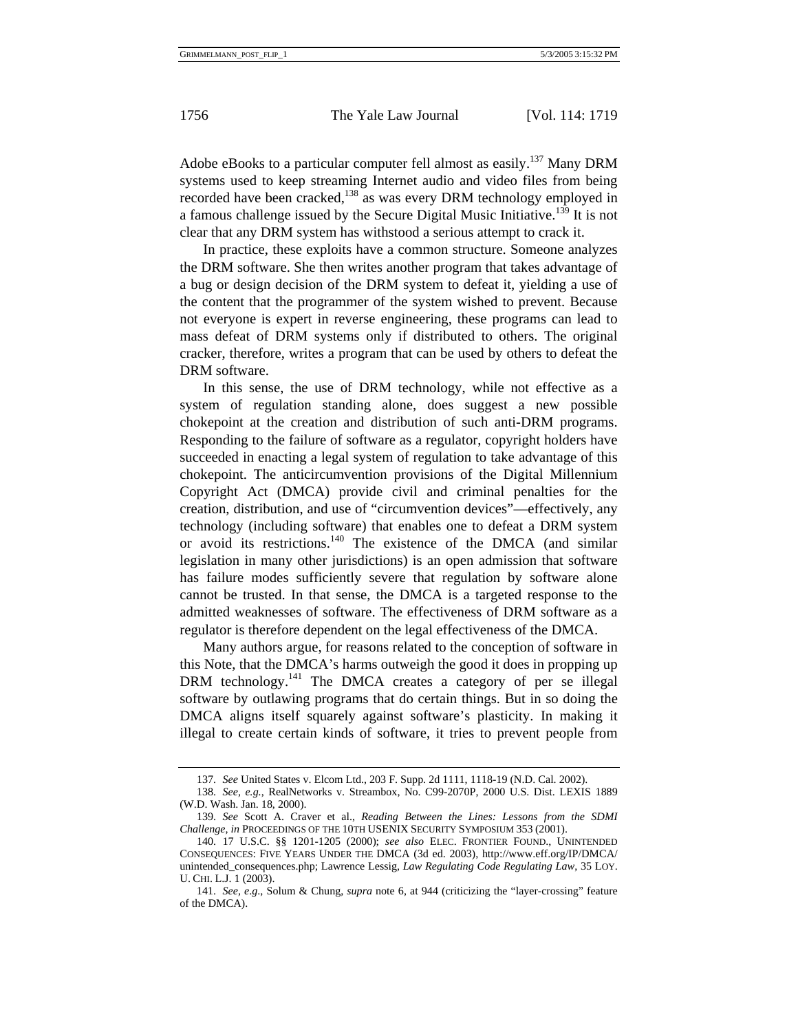Adobe eBooks to a particular computer fell almost as easily.<sup>137</sup> Many DRM systems used to keep streaming Internet audio and video files from being recorded have been cracked,<sup>138</sup> as was every DRM technology employed in a famous challenge issued by the Secure Digital Music Initiative.<sup>139</sup> It is not clear that any DRM system has withstood a serious attempt to crack it.

In practice, these exploits have a common structure. Someone analyzes the DRM software. She then writes another program that takes advantage of a bug or design decision of the DRM system to defeat it, yielding a use of the content that the programmer of the system wished to prevent. Because not everyone is expert in reverse engineering, these programs can lead to mass defeat of DRM systems only if distributed to others. The original cracker, therefore, writes a program that can be used by others to defeat the DRM software.

In this sense, the use of DRM technology, while not effective as a system of regulation standing alone, does suggest a new possible chokepoint at the creation and distribution of such anti-DRM programs. Responding to the failure of software as a regulator, copyright holders have succeeded in enacting a legal system of regulation to take advantage of this chokepoint. The anticircumvention provisions of the Digital Millennium Copyright Act (DMCA) provide civil and criminal penalties for the creation, distribution, and use of "circumvention devices"—effectively, any technology (including software) that enables one to defeat a DRM system or avoid its restrictions.<sup>140</sup> The existence of the DMCA (and similar legislation in many other jurisdictions) is an open admission that software has failure modes sufficiently severe that regulation by software alone cannot be trusted. In that sense, the DMCA is a targeted response to the admitted weaknesses of software. The effectiveness of DRM software as a regulator is therefore dependent on the legal effectiveness of the DMCA.

Many authors argue, for reasons related to the conception of software in this Note, that the DMCA's harms outweigh the good it does in propping up DRM technology.<sup>141</sup> The DMCA creates a category of per se illegal software by outlawing programs that do certain things. But in so doing the DMCA aligns itself squarely against software's plasticity. In making it illegal to create certain kinds of software, it tries to prevent people from

<sup>137.</sup> *See* United States v. Elcom Ltd., 203 F. Supp. 2d 1111, 1118-19 (N.D. Cal. 2002).

<sup>138.</sup> *See, e.g.*, RealNetworks v. Streambox, No. C99-2070P, 2000 U.S. Dist. LEXIS 1889 (W.D. Wash. Jan. 18, 2000).

<sup>139.</sup> *See* Scott A. Craver et al., *Reading Between the Lines: Lessons from the SDMI Challenge*, *in* PROCEEDINGS OF THE 10TH USENIX SECURITY SYMPOSIUM 353 (2001).

<sup>140. 17</sup> U.S.C. §§ 1201-1205 (2000); *see also* ELEC. FRONTIER FOUND., UNINTENDED CONSEQUENCES: FIVE YEARS UNDER THE DMCA (3d ed. 2003), http://www.eff.org/IP/DMCA/ unintended\_consequences.php; Lawrence Lessig, *Law Regulating Code Regulating Law*, 35 LOY. U. CHI. L.J. 1 (2003).

<sup>141.</sup> *See, e*.*g*., Solum & Chung, *supra* note 6, at 944 (criticizing the "layer-crossing" feature of the DMCA).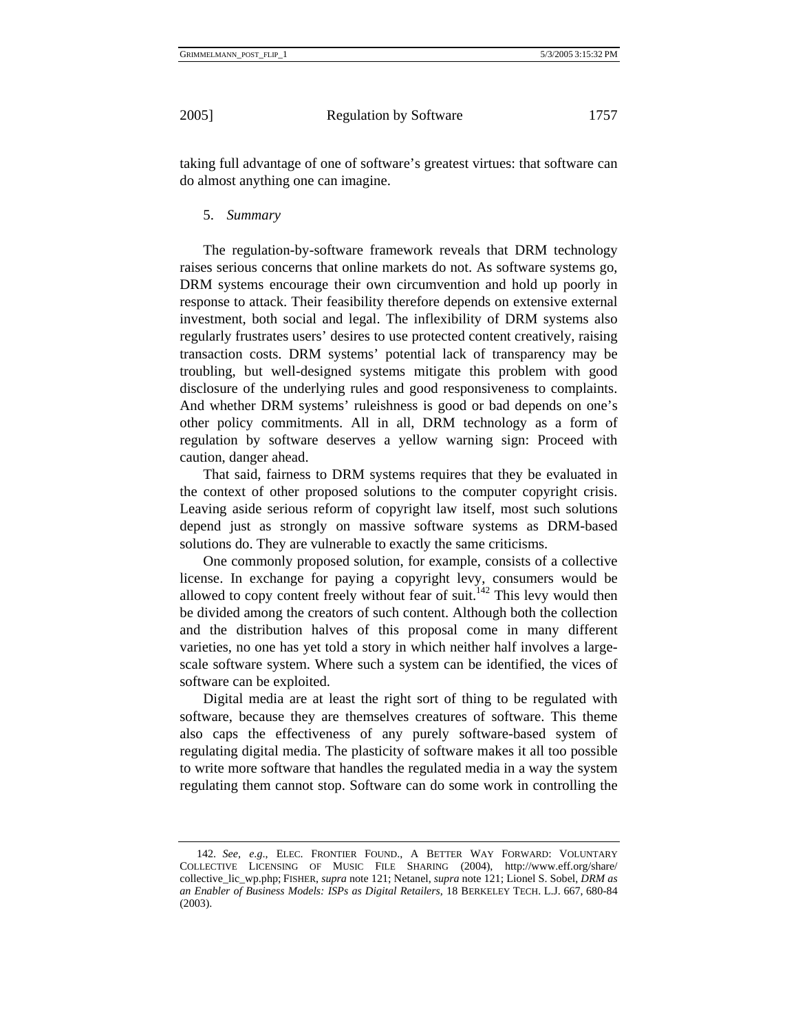taking full advantage of one of software's greatest virtues: that software can do almost anything one can imagine.

#### 5. *Summary*

The regulation-by-software framework reveals that DRM technology raises serious concerns that online markets do not. As software systems go, DRM systems encourage their own circumvention and hold up poorly in response to attack. Their feasibility therefore depends on extensive external investment, both social and legal. The inflexibility of DRM systems also regularly frustrates users' desires to use protected content creatively, raising transaction costs. DRM systems' potential lack of transparency may be troubling, but well-designed systems mitigate this problem with good disclosure of the underlying rules and good responsiveness to complaints. And whether DRM systems' ruleishness is good or bad depends on one's other policy commitments. All in all, DRM technology as a form of regulation by software deserves a yellow warning sign: Proceed with caution, danger ahead.

That said, fairness to DRM systems requires that they be evaluated in the context of other proposed solutions to the computer copyright crisis. Leaving aside serious reform of copyright law itself, most such solutions depend just as strongly on massive software systems as DRM-based solutions do. They are vulnerable to exactly the same criticisms.

One commonly proposed solution, for example, consists of a collective license. In exchange for paying a copyright levy, consumers would be allowed to copy content freely without fear of suit.<sup>142</sup> This levy would then be divided among the creators of such content. Although both the collection and the distribution halves of this proposal come in many different varieties, no one has yet told a story in which neither half involves a largescale software system. Where such a system can be identified, the vices of software can be exploited.

Digital media are at least the right sort of thing to be regulated with software, because they are themselves creatures of software. This theme also caps the effectiveness of any purely software-based system of regulating digital media. The plasticity of software makes it all too possible to write more software that handles the regulated media in a way the system regulating them cannot stop. Software can do some work in controlling the

<sup>142.</sup> *See, e*.*g*., ELEC. FRONTIER FOUND., A BETTER WAY FORWARD: VOLUNTARY COLLECTIVE LICENSING OF MUSIC FILE SHARING (2004), http://www.eff.org/share/ collective\_lic\_wp.php; FISHER, *supra* note 121; Netanel, *supra* note 121; Lionel S. Sobel, *DRM as an Enabler of Business Models: ISPs as Digital Retailers*, 18 BERKELEY TECH. L.J. 667, 680-84 (2003).